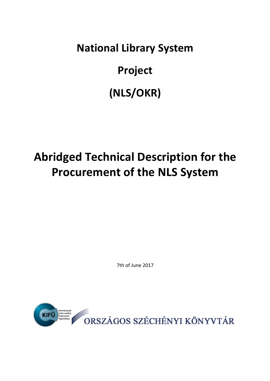**National Library System Project (NLS/OKR)**

# **Abridged Technical Description for the Procurement of the NLS System**

7th of June 2017

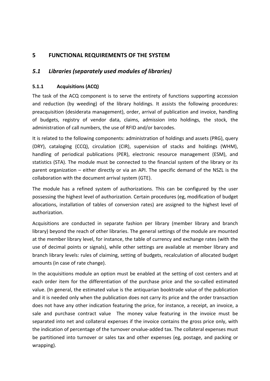# **5** FUNCTIONAL REQUIREMENTS OF THE SYSTEM

#### 5.1 Libraries (separately used modules of libraries)

#### **5.1.1 Acquisitions (ACQ)**

The task of the ACQ component is to serve the entirety of functions supporting accession and reduction (by weeding) of the library holdings. It assists the following procedures: preacquisition (desiderata management), order, arrival of publication and invoice, handling of budgets, registry of vendor data, claims, admission into holdings, the stock, the administration of call numbers, the use of RFID and/or barcodes.

It is related to the following components: administration of holdings and assets (PRG), query (DRY), cataloging (CCQ), circulation (CIR), supervision of stacks and holdings (WHM), handling of periodical publications (PER), electronic resource management (ESM), and statistics (STA). The module must be connected to the financial system of the library or its parent organization – either directly or via an API. The specific demand of the NSZL is the collaboration with the document arrival system (GTE).

The module has a refined system of authorizations. This can be configured by the user possessing the highest level of authorization. Certain procedures (eg, modification of budget allocations, installation of tables of conversion rates) are assigned to the highest level of authorization.

Acquisitions are conducted in separate fashion per library (member library and branch library) beyond the reach of other libraries. The general settings of the module are mounted at the member library level, for instance, the table of currency and exchange rates (with the use of decimal points or signals), while other settings are available at member library and branch library levels: rules of claiming, setting of budgets, recalculation of allocated budget amounts (in case of rate change).

In the acquisitions module an option must be enabled at the setting of cost centers and at each order item for the differentiation of the purchase price and the so-called estimated value. (In general, the estimated value is the antiquarian booktrade value of the publication and it is needed only when the publication does not carry its price and the order transaction does not have any other indication featuring the price, for instance, a receipt, an invoice, a sale and purchase contract value The money value featuring in the invoice must be separated into net and collateral expenses if the invoice contains the gross price only, with the indication of percentage of the turnover orvalue-added tax. The collateral expenses must be partitioned into turnover or sales tax and other expenses (eg, postage, and packing or wrapping).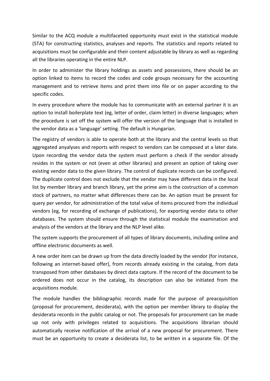Similar to the ACQ module a multifaceted opportunity must exist in the statistical module (STA) for constructing statistics, analyses and reports. The statistics and reports related to acquisitions must be configurable and their content adjustable by library as well as regarding all the libraries operating in the entire NLP.

In order to administer the library holdings as assets and possessions, there should be an option linked to items to record the codes and code groups necessary for the accounting management and to retrieve items and print them into file or on paper according to the specific codes.

In every procedure where the module has to communicate with an external partner it is an option to install boilerplate text (eg, letter of order, claim letter) in diverse languages; when the procedure is set off the system will offer the version of the language that is installed in the vendor data as a 'language' setting. The default is Hungarian.

The registry of vendors is able to operate both at the library and the central levels so that aggregated anyalyses and reports with respect to vendors can be composed at a later date. Upon recording the vendor data the system must perform a check if the vendor already resides in the system or not (even at other libraries) and present an option of taking over existing vendor data to the given library. The control of duplicate records can be configured. The duplicate control does not exclude that the vendor may have different data in the local list by member library and branch library, yet the prime aim is the costruction of a common stock of partners, no matter what differences there can be. An option must be present for query per vendor, for administration of the total value of items procured from the individual vendors (eg, for recording of exchange of publications), for exporting vendor data to other databases. The system should ensure through the statistical module the examination and analysis of the vendors at the library and the NLP level alike.

The system supports the procurement of all types of library documents, including online and offline electronic documents as well.

A new order item can be drawn up from the data directly loaded by the vendor (for instance, following an internet-based offer), from records already existing in the catalog, from data transposed from other databases by direct data capture. If the record of the document to be ordered does not occur in the catalog, its description can also be initiated from the acquisitions module.

The module handles the bibliographic records made for the purpose of preacquisition (proposal for procurement, desiderata), with the option per member library to display the desiderata records in the public catalog or not. The proposals for procurement can be made up not only with privileges related to acquisitions. The acquisitions librarian should automatically receive notification of the arrival of a new proposal for procurement. There must be an opportunity to create a desiderata list, to be written in a separate file. Of the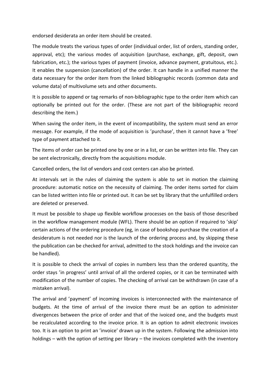endorsed desiderata an order item should be created.

The module treats the various types of order (individual order, list of orders, standing order, approval, etc); the various modes of acquisition (purchase, exchange, gift, deposit, own fabrication, etc.); the various types of payment (invoice, advance payment, gratuitous, etc.). It enables the suspension (cancellation) of the order. It can handle in a unified manner the data necessary for the order item from the linked bibliographic records (common data and volume data) of multivolume sets and other documents.

It is possible to append or tag remarks of non-bibliographic type to the order item which can optionally be printed out for the order. (These are not part of the bibliographic record describing the item.)

When saving the order item, in the event of incompatibility, the system must send an error message. For example, if the mode of acquisition is 'purchase', then it cannot have a 'free' type of payment attached to it.

The items of order can be printed one by one or in a list, or can be written into file. They can be sent electronically, directly from the acquisitions module.

Cancelled orders, the list of vendors and cost centers can also be printed.

At intervals set in the rules of claiming the system is able to set in motion the claiming procedure: automatic notice on the necessity of claiming. The order items sorted for claim can be listed written into file or printed out. It can be set by library that the unfulfilled orders are deleted or preserved.

It must be possible to shape up flexible workflow processes on the basis of those described in the workflow management module (WFL). There should be an option if required to 'skip' certain actions of the ordering procedure (eg, in case of bookshop purchase the creation of a desideratum is not needed nor is the launch of the ordering process and, by skipping these the publication can be checked for arrival, admitted to the stock holdings and the invoice can be handled).

It is possible to check the arrival of copies in numbers less than the ordered quantity, the order stays 'in progress' until arrival of all the ordered copies, or it can be terminated with modification of the number of copies. The checking of arrival can be withdrawn (in case of a mistaken arrival).

The arrival and 'payment' of incoming invoices is interconnected with the maintenance of budgets. At the time of arrival of the invoice there must be an option to administer divergences between the price of order and that of the ivoiced one, and the budgets must be recalculated according to the invoice price. It is an option to admit electronic invoices too. It is an option to print an 'invoice' drawn up in the system. Following the admission into holdings – with the option of setting per library – the invoices completed with the inventory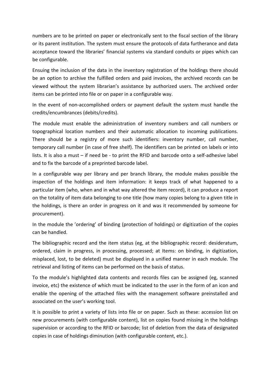numbers are to be printed on paper or electronically sent to the fiscal section of the library or its parent institution. The system must ensure the protocols of data furtherance and data acceptance toward the libraries' financial systems via standard conduits or pipes which can be configurable.

Ensuing the inclusion of the data in the inventory registration of the holdings there should be an option to archive the fulfilled orders and paid invoices, the archived records can be viewed without the system librarian's assistance by authorized users. The archived order items can be printed into file or on paper in a configurable way.

In the event of non-accomplished orders or payment default the system must handle the credits/encumbrances (debits/credits).

The module must enable the administration of inventory numbers and call numbers or topographical location numbers and their automatic allocation to incoming publications. There should be a registry of more such identifiers: inventory number, call number, temporary call number (in case of free shelf). The identifiers can be printed on labels or into lists. It is also a must  $-$  if need be - to print the RFID and barcode onto a self-adhesive label and to fix the barcode of a preprinted barcode label.

In a configurable way per library and per branch library, the module makes possible the inspection of the holdings and item information: it keeps track of what happened to a particular item (who, when and in what way altered the item record), it can produce a report on the totality of item data belonging to one title (how many copies belong to a given title in the holdings, is there an order in progress on it and was it recommended by someone for procurement).

In the module the 'ordering' of binding (protection of holdings) or digitization of the copies can be handled.

The bibliographic record and the item status (eg, at the bibliographic record: desideratum, ordered, claim in progress, in processing, processed; at Items: on binding, in digitization, misplaced, lost, to be deleted) must be displayed in a unified manner in each module. The retrieval and listing of items can be performed on the basis of status.

To the module's highlighted data contents and records files can be assigned (eg, scanned invoice, etc) the existence of which must be indicated to the user in the form of an icon and enable the opening of the attached files with the management software preinstalled and associated on the user's working tool.

It is possible to print a variety of lists into file or on paper. Such as these: accession list on new procurements (with configurable content), list on copies found missing in the holdings supervision or according to the RFID or barcode; list of deletion from the data of designated copies in case of holdings diminution (with configurable content, etc.).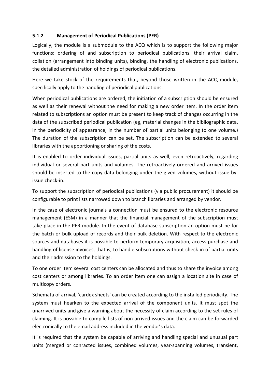#### **5.1.2 Management of Periodical Publications (PER)**

Logically, the module is a submodule to the ACQ which is to support the following major functions: ordering of and subscription to periodical publications, their arrival claim, collation (arrangement into binding units), binding, the handling of electronic publications, the detailed administration of holdings of periodical publications.

Here we take stock of the requirements that, beyond those written in the ACQ module, specifically apply to the handling of periodical publications.

When periodical publications are ordered, the initiation of a subscription should be ensured as well as their renewal without the need for making a new order item. In the order item related to subscriptions an option must be present to keep track of changes occurring in the data of the subscribed periodical publication (eg, material changes in the bibliographic data, in the periodicity of appearance, in the number of partial units belonging to one volume.) The duration of the subscription can be set. The subscription can be extended to several libraries with the apportioning or sharing of the costs.

It is enabled to order individual issues, partial units as well, even retroactively, regarding individual or several part units and volumes. The retroactively ordered and arrived issues should be inserted to the copy data belonging under the given volumes, without issue-byissue check-in.

To support the subscription of periodical publications (via public procurement) it should be configurable to print lists narrowed down to branch libraries and arranged by vendor.

In the case of electronic journals a connection must be ensured to the electronic resource management (ESM) in a manner that the financial management of the subscription must take place in the PER module. In the event of database subscription an option must be for the batch or bulk upload of records and their bulk deletion. With respect to the electronic sources and databases it is possible to perform temporary acquisition, access purchase and handling of license invoices, that is, to handle subscriptions without check-in of partial units and their admission to the holdings.

To one order item several cost centers can be allocated and thus to share the invoice among cost centers or among libraries. To an order item one can assign a location site in case of multicopy orders.

Schemata of arrival, 'cardex sheets' can be created according to the installed periodicity. The system must hearken to the expected arrival of the component units. It must spot the unarrived units and give a warning about the necessity of claim according to the set rules of claiming. It is possible to compile lists of non-arrived issues and the claim can be forwarded electronically to the email address included in the vendor's data.

It is required that the system be capable of arriving and handling special and unusual part units (merged or conracted issues, combined volumes, year-spanning volumes, transient,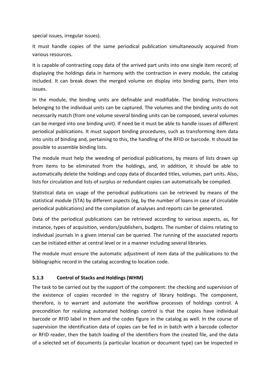special issues, irregular issues).

It must handle copies of the same periodical publication simultaneously acquired from various resources.

It is capable of contracting copy data of the arrived part units into one single item record; of displaying the holdings data in harmony with the contraction in every module, the catalog included. It can break down the merged volume on display into binding parts, then into issues. 

In the module, the binding units are definable and modifiable. The binding instructions belonging to the individual units can be captured. The volumes and the binding units do not necessarily match (from one volume several binding units can be composed, several volumes can be merged into one binding unit). If need be it must be able to handle issues of different periodical publications. It must support binding procedures, such as transforming item data into units of binding and, pertaining to this, the handling of the RFID or barcode. It should be possible to assemble binding lists.

The module must help the weeding of periodical publications, by means of lists drawn up from items to be eliminated from the holdings, and, in addition, it should be able to automatically delete the holdings and copy data of discarded titles, volumes, part units. Also, lists for circulation and lists of surplus or redundant copies can automatically be compiled.

Statistical data on usage of the periodical publications can be retrieved by means of the statistical module (STA) by different aspects (eg, by the number of loans in case of circulable periodical publications) and the compilation of analyses and reports can be generated.

Data of the periodical publications can be retrieved according to various aspects, as, for instance, types of acquisition, vendors/publishers, budgets. The number of claims relating to individual journals in a given interval can be queried. The running of the associated reports can be initiated either at central level or in a manner including several libraries.

The module must ensure the automatic adjustment of item data of the publications to the bibliographic record in the catalog according to location code.

#### **5.1.3 Control of Stacks and Holdings (WHM)**

The task to be carried out by the support of the component: the checking and supervision of the existence of copies recorded in the registry of library holdings. The component, therefore, is to warrant and automate the workflow processes of holdings control. A precondition for realizing automated holdings control is that the copies have individual barcode or RFID label in them and the codes figure in the catalog as well. In the course of supervision the identification data of copies can be fed in in batch with a barcode collector or RFID reader, then the batch loading of the identifiers from the created file, and the data of a selected set of documents (a particular location or document type) can be inspected in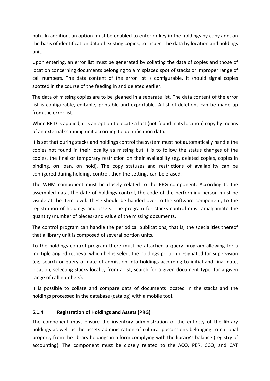bulk. In addition, an option must be enabled to enter or key in the holdings by copy and, on the basis of identification data of existing copies, to inspect the data by location and holdings unit.

Upon entering, an error list must be generated by collating the data of copies and those of location concerning documents belonging to a misplaced spot of stacks or improper range of call numbers. The data content of the error list is configurable. It should signal copies spotted in the course of the feeding in and deleted earlier.

The data of missing copies are to be gleaned in a separate list. The data content of the error list is configurable, editable, printable and exportable. A list of deletions can be made up from the error list.

When RFID is applied, it is an option to locate a lost (not found in its location) copy by means of an external scanning unit according to identification data.

It is set that during stacks and holdings control the system must not automatically handle the copies not found in their locality as missing but it is to follow the status changes of the copies, the final or temporary restriction on their availability (eg, deleted copies, copies in binding, on loan, on hold). The copy statuses and restrictions of availability can be configured during holdings control, then the settings can be erased.

The WHM component must be closely related to the PRG component. According to the assembled data, the date of holdings control, the code of the performing person must be visible at the item level. These should be handed over to the software component, to the registration of holdings and assets. The program for stacks control must amalgamate the quantity (number of pieces) and value of the missing documents.

The control program can handle the periodical publications, that is, the specialities thereof that a library unit is composed of several portion units.

To the holdings control program there must be attached a query program allowing for a multiple-angled retrieval which helps select the holdings portion designated for supervision (eg, search or query of date of admission into holdings according to initial and final date, location, selecting stacks locality from a list, search for a given document type, for a given range of call numbers).

It is possible to collate and compare data of documents located in the stacks and the holdings processed in the database (catalog) with a mobile tool.

#### **5.1.4 Registration of Holdings and Assets (PRG)**

The component must ensure the inventory administration of the entirety of the library holdings as well as the assets administration of cultural possessions belonging to national property from the library holdings in a form complying with the library's balance (registry of accounting). The component must be closely related to the ACQ, PER, CCQ, and CAT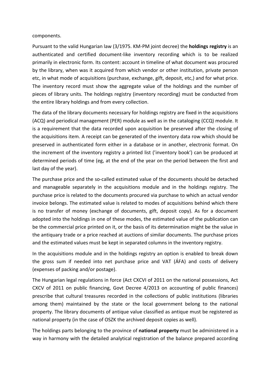#### components.

Pursuant to the valid Hungarian law (3/1975. KM-PM joint decree) the **holdings registry** is an authenticated and certified document-like inventory recording which is to be realized primarily in electronic form. Its content: account in timeline of what document was procured by the library, when was it acquired from which vendor or other institution, private person etc, in what mode of acquisitions (purchase, exchange, gift, deposit, etc.) and for what price. The inventory record must show the aggregate value of the holdings and the number of pieces of library units. The holdings registry (inventory recording) must be conducted from the entire library holdings and from every collection.

The data of the library documents necessary for holdings registry are fixed in the acquisitions (ACQ) and periodical management (PER) module as well as in the cataloging (CCQ) module. It is a requirement that the data recorded upon acquisition be preserved after the closing of the acquisitions item. A receipt can be generated of the inventory data row which should be preserved in authenticated form either in a database or in another, electronic format. On the increment of the inventory registry a printed list ('inventory book') can be produced at determined periods of time (eg, at the end of the year on the period between the first and last day of the year).

The purchase price and the so-called estimated value of the documents should be detached and manageable separately in the acquisitions module and in the holdings registry. The purchase price is related to the documents procured via purchase to which an actual vendor invoice belongs. The estimated value is related to modes of acquisitions behind which there is no transfer of money (exchange of documents, gift, deposit copy). As for a document adopted into the holdings in one of these modes, the estimated value of the publication can be the commercial price printed on it, or the basis of its determination might be the value in the antiquary trade or a price reached at auctions of similar documents. The purchase prices and the estimated values must be kept in separated columns in the inventory registry.

In the acquisitions module and in the holdings registry an option is enabled to break down the gross sum if needed into net purchase price and VAT (AFA) and costs of delivery (expenses of packing and/or postage).

The Hungarian legal regulations in force (Act CXCVI of 2011 on the national possessions, Act CXCV of 2011 on public financing, Govt Decree 4/2013 on accounting of public finances) prescribe that cultural treasures recorded in the collections of public institutions (libraries among them) maintained by the state or the local government belong to the national property. The library documents of antique value classified as antique must be registered as national property (in the case of OSZK the archived deposit copies as well).

The holdings parts belonging to the province of **national property** must be administered in a way in harmony with the detailed analytical registration of the balance prepared according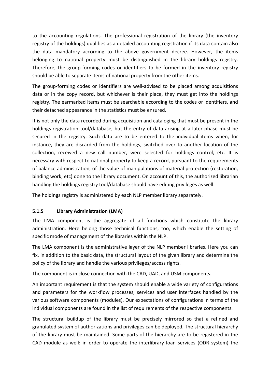to the accounting regulations. The professional registration of the library (the inventory registry of the holdings) qualifies as a detailed accounting registration if its data contain also the data mandatory according to the above government decree. However, the items belonging to national property must be distinguished in the library holdings registry. Therefore, the group-forming codes or identifiers to be formed in the inventory registry should be able to separate items of national property from the other items.

The group-forming codes or identifiers are well-advised to be placed among acquisitions data or in the copy record, but whichever is their place, they must get into the holdings registry. The earmarked items must be searchable according to the codes or identifiers, and their detached appearance in the statistics must be ensured.

It is not only the data recorded during acquisition and cataloging that must be present in the holdings-registration tool/database, but the entry of data arising at a later phase must be secured in the registry. Such data are to be entered to the individual items when, for instance, they are discarded from the holdings, switched over to another location of the collection, received a new call number, were selected for holdings control, etc. It is necessary with respect to national property to keep a record, pursuant to the requirements of balance administration, of the value of manipulations of material protection (restoration, binding work, etc) done to the library document. On account of this, the authorized librarian handling the holdings registry tool/database should have editing privileges as well.

The holdings registry is administered by each NLP member library separately.

#### **5.1.5 Library Administration (LMA)**

The LMA component is the aggregate of all functions which constitute the library administration. Here belong those technical functions, too, which enable the setting of specific mode of management of the libraries within the NLP.

The LMA component is the administrative layer of the NLP member libraries. Here you can fix, in addition to the basic data, the structural layout of the given library and determine the policy of the library and handle the various privileges/access rights.

The component is in close connection with the CAD, UAD, and USM components.

An important requirement is that the system should enable a wide variety of configurations and parameters for the workflow processes, services and user interfaces handled by the various software components (modules). Our expectations of configurations in terms of the individual components are found in the list of requirements of the respective components.

The structural buildup of the library must be precisely mirrored so that a refined and granulated system of authorizations and privileges can be deployed. The structural hierarchy of the library must be maintained. Some parts of the hierarchy are to be registered in the CAD module as well: in order to operate the interlibrary loan services (ODR system) the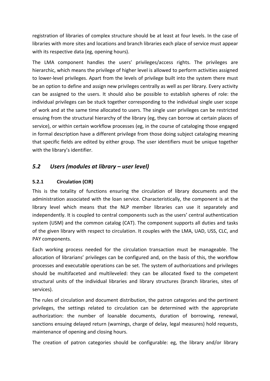registration of libraries of complex structure should be at least at four levels. In the case of libraries with more sites and locations and branch libraries each place of service must appear with its respective data (eg, opening hours).

The LMA component handles the users' privileges/access rights. The privileges are hierarchic, which means the privilege of higher level is allowed to perform activities assigned to lower-level privileges. Apart from the levels of privilege built into the system there must be an option to define and assign new privileges centrally as well as per library. Every activity can be assigned to the users. It should also be possible to establish spheres of role: the individual privileges can be stuck together corresponding to the individual single user scope of work and at the same time allocated to users. The single user privileges can be restricted ensuing from the structural hierarchy of the library (eg, they can borrow at certain places of service), or within certain workflow processes (eg, in the course of cataloging those engaged in formal description have a different privilege from those doing subject cataloging meaning that specific fields are edited by either group. The user identifiers must be unique together with the library's identifier.

# 5.2 Users (modules at library – user level)

#### **5.2.1 Circulation (CIR)**

This is the totality of functions ensuring the circulation of library documents and the administration associated with the loan service. Characteristically, the component is at the library level which means that the NLP member libraries can use it separately and independently. It is coupled to central components such as the users' central authentication system (USM) and the common catalog (CAT). The component supports all duties and tasks of the given library with respect to circulation. It *couples* with the LMA, UAD, USS, CLC, and PAY components.

Each working process needed for the circulation transaction must be manageable. The allocation of librarians' privileges can be configured and, on the basis of this, the workflow processes and executable operations can be set. The system of authorizations and privileges should be multifaceted and multileveled: they can be allocated fixed to the competent structural units of the individual libraries and library structures (branch libraries, sites of services).

The rules of circulation and document distribution, the patron categories and the pertinent privileges, the settings related to circulation can be determined with the appropriate authorization: the number of loanable documents, duration of borrowing, renewal, sanctions ensuing delayed return (warnings, charge of delay, legal measures) hold requests, maintenance of opening and closing hours.

The creation of patron categories should be configurable: eg, the library and/or library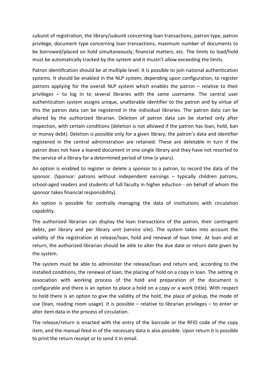subunit of registration, the library/subunit concerning loan transactions, patron type, patron privilege, document type concerning loan transactions, maximum number of documents to be borrowed/placed on hold simultaneously, financial matters, etc. The limits to load/hold must be automatically tracked by the system and it mustn't allow exceeding the limits.

Patron identification should be at multiple level. It is possible to join national authentication systems. It should be enabled in the NLP system, depending upon configuration, to register patrons applying for the overall NLP system which enables the patron – relative to their privileges - to log in to several libraries with the same username. The central user authentication system assigns unique, unalterable identifier to the patron and by virtue of this the patron data can be registered in the individual libraries. The patron data can be altered by the authorized librarian. Deletion of patron data can be started only after inspection, with certain conditions (deletion is not allowed if the patron has loan, hold, ban or money debt). Deletion is possible only for a given library, the patron's data and identifier registered in the central administration are retained. These are deletable in turn if the patron does not have a loaned document in one single library and they have not resorted to the service of a library for a determined period of time (x years).

An option is enabled to register or delete a sponsor to a patron, to record the data of the sponsor. (Sponsor: patrons without independent earnings  $-$  typically children patrons, school-aged readers and students of full faculty in higher eduction - on behalf of whom the sponsor takes financial responsibility).

An option is possible for centrally managing the data of institutions with circulation capability.

The authorized librarian can display the loan transactions of the patron, their contingent debts, per library and per library unit (service site). The system takes into account the validity of the registration at release/loan, hold and renewal of loan time. At loan and at return, the authorized librarian should be able to alter the due date or return date given by the system.

The system must be able to administer the release/loan and return and, according to the installed conditions, the renewal of loan, the placing of hold on a copy in loan. The setting in association with working process of the hold and preparation of the document is configurable and there is an option to place a hold on a copy or a work (title). With respect to hold there is an option to give the validity of the hold, the place of pickup, the mode of use (loan, reading room usage). It is possible  $-$  relative to librarian privileges  $-$  to enter or alter item data in the process of circulation.

The release/return is enacted with the entry of the barcode or the RFID code of the copy item, and the manual feed-in of the necessary data is also possible. Upon return it is possible to print the return receipt or to send it in email.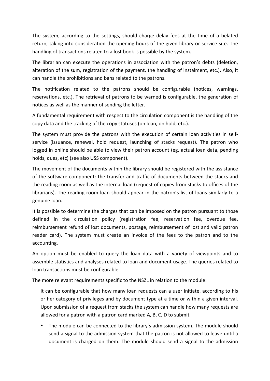The system, according to the settings, should charge delay fees at the time of a belated return, taking into consideration the opening hours of the given library or service site. The handling of transactions related to a lost book is possible by the system.

The librarian can execute the operations in association with the patron's debts (deletion, alteration of the sum, registration of the payment, the handling of instalment, etc.). Also, it can handle the prohibitions and bans related to the patrons.

The notification related to the patrons should be configurable (notices, warnings, reservations, etc.). The retrieval of patrons to be warned is configurable, the generation of notices as well as the manner of sending the letter.

A fundamental requirement with respect to the circulation component is the handling of the copy data and the tracking of the copy statuses (on loan, on hold, etc.).

The system must provide the patrons with the execution of certain loan activities in selfservice (issuance, renewal, hold request, launching of stacks request). The patron who logged in online should be able to view their patron account (eg, actual loan data, pending holds, dues, etc) (see also USS component).

The movement of the documents within the library should be registered with the assistance of the software component: the transfer and traffic of documents between the stacks and the reading room as well as the internal loan (request of copies from stacks to offices of the librarians). The reading room loan should appear in the patron's list of loans similarly to a genuine loan.

It is possible to determine the charges that can be imposed on the patron pursuant to those defined in the circulation policy (registration fee, reservation fee, overdue fee, reimbursement refund of lost documents, postage, reimbursement of lost and valid patron reader card). The system must create an invoice of the fees to the patron and to the accounting.

An option must be enabled to query the loan data with a variety of viewpoints and to assemble statistics and analyses related to loan and document usage. The queries related to loan transactions must be configurable.

The more relevant requirements specific to the NSZL in relation to the module:

It can be configurable that how many loan requests can a user initiate, according to his or her category of privileges and by document type at a time or within a given interval. Upon submission of a request from stacks the system can handle how many requests are allowed for a patron with a patron card marked A, B, C, D to submit.

• The module can be connected to the library's admission system. The module should send a signal to the admission system that the patron is not allowed to leave until a document is charged on them. The module should send a signal to the admission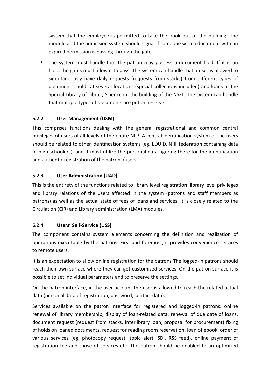system that the employee is permitted to take the book out of the building. The module and the admission system should signal if someone with a document with an expired permission is passing through the gate.

• The system must handle that the patron may possess a document hold. If it is on hold, the gates must allow it to pass. The system can handle that a user is allowed to simultaneously have daily requests (requests from stacks) from different types of documents, holds at several locations (special collections included) and loans at the Special Library of Library Science in the building of the NSZL. The system can handle that multiple types of documents are put on reserve.

## **5.2.2 User Management (USM)**

This comprises functions dealing with the general registrational and common central privileges of users of all levels of the entire NLP. A central identification system of the users should be related to other identification systems (eg, EDUID, NIIF federation containing data of high schoolers), and it must utilize the personal data figuring there for the identification and authentic registration of the patrons/users.

## **5.2.3 User Administration (UAD)**

This is the entirety of the functions related to library level registration, library level privileges and library relations of the users affected in the system (patrons and staff members as patrons) as well as the actual state of fees of loans and services. It is closely related to the Circulation (CIR) and Library administration (LMA) modules.

# **5.2.4 Users' Self-Service (USS)**

The component contains system elements concerning the definition and realization of operations executable by the patrons. First and foremost, it provides convenience services to remote users.

It is an expectation to allow online registration for the patrons The logged-in patrons should reach their own surface where they can get customized services. On the patron surface it is possible to set individual parameters and to preserve the settings.

On the patron interface, in the user account the user is allowed to reach the related actual data (personal data of registration, password, contact data).

Services available on the patron interface for registered and logged-in patrons: online renewal of library membership, display of loan-related data, renewal of due date of loans, document request (request from stacks, interlibrary loan, proposal for procurement) fixing of holds on loaned documents, request for reading room reservation, loan of ebook, order of various services (eg, photocopy request, topic alert, SDI, RSS feed), online payment of registration fee and those of services etc. The patron should be enabled to an optimized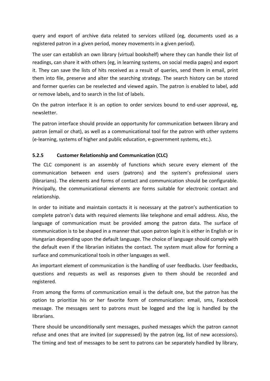query and export of archive data related to services utilized (eg, documents used as a registered patron in a given period, money movements in a given period).

The user can establish an own library (virtual bookshelf) where they can handle their list of readings, can share it with others (eg, in learning systems, on social media pages) and export it. They can save the lists of hits received as a result of queries, send them in email, print them into file, preserve and alter the searching strategy. The search history can be stored and former queries can be reselected and viewed again. The patron is enabled to label, add or remove labels, and to search in the list of labels.

On the patron interface it is an option to order services bound to end-user approval, eg, newsletter. 

The patron interface should provide an opportunity for communication between library and patron (email or chat), as well as a communicational tool for the patron with other systems (e-learning, systems of higher and public education, e-government systems, etc.).

## **5.2.5 Customer Relationship and Communication (CLC)**

The CLC component is an assembly of functions which secure every element of the communication between end users (patrons) and the system's professional users (librarians). The elements and forms of contact and communication should be configurable. Principally, the communicational elements are forms suitable for electronic contact and relationship. 

In order to initiate and maintain contacts it is necessary at the patron's authentication to complete patron's data with required elements like telephone and email address. Also, the language of communication must be provided among the patron data. The surface of communication is to be shaped in a manner that upon patron login it is either in English or in Hungarian depending upon the default language. The choice of language should comply with the default even if the librarian initiates the contact. The system must allow for forming a surface and communicational tools in other languages as well.

An important element of communication is the handling of user feedbacks. User feedbacks. questions and requests as well as responses given to them should be recorded and registered.

From among the forms of communication email is the default one, but the patron has the option to prioritize his or her favorite form of communication: email, sms, Facebook message. The messages sent to patrons must be logged and the log is handled by the librarians. 

There should be unconditionally sent messages, pushed messages which the patron cannot refuse and ones that are invited (or suppressed) by the patron (eg, list of new accessions). The timing and text of messages to be sent to patrons can be separately handled by library,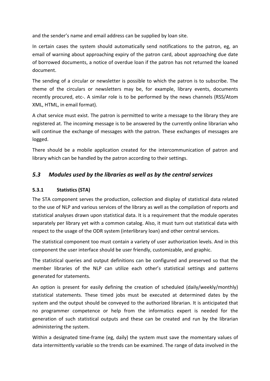and the sender's name and email address can be supplied by loan site.

In certain cases the system should automatically send notifications to the patron, eg, an email of warning about approaching expiry of the patron card, about approaching due date of borrowed documents, a notice of overdue loan if the patron has not returned the loaned document.

The sending of a circular or newsletter is possible to which the patron is to subscribe. The theme of the circulars or newsletters may be, for example, library events, documents recently procured, etc-. A similar role is to be performed by the news channels (RSS/Atom XML, HTML, in email format).

A chat service must exist. The patron is permitted to write a message to the library they are registered at. The incoming message is to be answered by the currently online librarian who will continue the exchange of messages with the patron. These exchanges of messages are logged.

There should be a mobile application created for the intercommunication of patron and library which can be handled by the patron according to their settings.

# **5.3** Modules used by the libraries as well as by the central services

#### **5.3.1 Statistics (STA)**

The STA component serves the production, collection and display of statistical data related to the use of NLP and various services of the library as well as the compilation of reports and statistical analyses drawn upon statistical data. It is a requirement that the module operates separately per library yet with a common catalog. Also, it must turn out statistical data with respect to the usage of the ODR system (interlibrary loan) and other central services.

The statistical component too must contain a variety of user authorization levels. And in this component the user interface should be user friendly, customizable, and graphic.

The statistical queries and output definitions can be configured and preserved so that the member libraries of the NLP can utilize each other's statistical settings and patterns generated for statements.

An option is present for easily defining the creation of scheduled (daily/weekly/monthly) statistical statements. These timed jobs must be executed at determined dates by the system and the output should be conveyed to the authorized librarian. It is anticipated that no programmer competence or help from the informatics expert is needed for the generation of such statistical outputs and these can be created and run by the librarian administering the system.

Within a designated time-frame (eg, daily) the system must save the momentary values of data intermittently variable so the trends can be examined. The range of data involved in the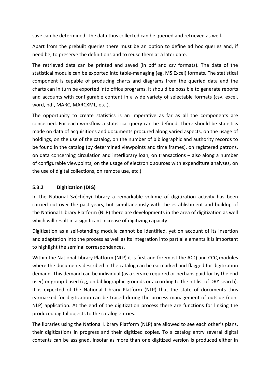save can be determined. The data thus collected can be queried and retrieved as well.

Apart from the prebuilt queries there must be an option to define ad hoc queries and, if need be, to preserve the definitions and to reuse them at a later date.

The retrieved data can be printed and saved (in pdf and csv formats). The data of the statistical module can be exported into table-managing (eg, MS Excel) formats. The statistical component is capable of producing charts and diagrams from the queried data and the charts can in turn be exported into office programs. It should be possible to generate reports and accounts with configurable content in a wide variety of selectable formats (csv, excel, word, pdf, MARC, MARCXML, etc.).

The opportunity to create statistics is an imperative as far as all the components are concerned. For each workflow a statistical query can be defined. There should be statistics made on data of acquisitions and documents procured along varied aspects, on the usage of holdings, on the use of the catalog, on the number of bibliographic and authority records to be found in the catalog (by determined viewpoints and time frames), on registered patrons, on data concerning circulation and interlibrary loan, on transactions – also along a number of configurable viewpoints, on the usage of electronic sources with expenditure analyses, on the use of digital collections, on remote use, etc.)

#### **5.3.2 Digitization (DIG)**

In the National Széchényi Library a remarkable volume of digitization activity has been carried out over the past years, but simultaneously with the establishment and buildup of the National Library Platform (NLP) there are developments in the area of digitization as well which will result in a significant increase of digitizing capacity.

Digitization as a self-standing module cannot be identified, yet on account of its insertion and adaptation into the process as well as its integration into partial elements it is important to highlight the seminal correspondances.

Within the National Library Platform (NLP) it is first and foremost the ACQ and CCQ modules where the documents described in the catalog can be earmarked and flagged for digitization demand. This demand can be individual (as a service required or perhaps paid for by the end user) or group-based (eg, on bibliographic grounds or according to the hit list of DRY search). It is expected of the National Library Platform (NLP) that the state of documents thus earmarked for digitization can be traced during the process management of outside (non-NLP) application. At the end of the digitization process there are functions for linking the produced digital objects to the catalog entries.

The libraries using the National Library Platform (NLP) are allowed to see each other's plans, their digitizations in progress and their digitized copies. To a catalog entry several digital contents can be assigned, insofar as more than one digitized version is produced either in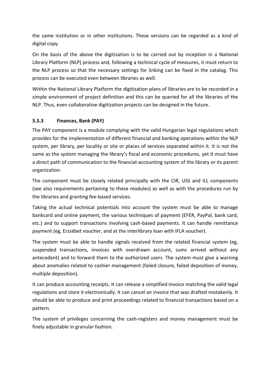the same institution or in other institutions. These versions can be regarded as a kind of digital copy.

On the basis of the above the digitization is to be carried out by inception in a National Library Platform (NLP) process and, following a technical cycle of measures, it must return to the NLP process so that the necessary settings for linking can be fixed in the catalog. This process can be executed even between libraries as well.

Within the National Library Platform the digitization plans of libraries are to be recorded in a simple environment of project definition and this can be queried for all the libraries of the NLP. Thus, even collaborative digitization projects can be designed in the future.

#### **5.3.3 Finances, Bank (PAY)**

The PAY component is a module complying with the valid Hungarian legal regulations which provides for the implementation of different financial and banking operations within the NLP system, per library, per locality or site or places of services separated within it. It is not the same as the system managing the library's fiscal and economic procedures, yet it must have a direct path of communication to the financial-accounting system of the library or its parent organization. 

The component must be closely related principally with the CIR, USS and ILL components (see also requirements pertaining to these modules) as well as with the procedures run by the libraries and granting fee-based services.

Taking the actual technical potentials into account the system must be able to manage bankcard and online payment, the various techniques of payment (EFER, PayPal, bank card, etc.) and to support transactions involving cash-based payments. It can handle remittance payment (eg, Erzsébet voucher, and at the interlibrary loan with IFLA voucher).

The system must be able to handle signals received from the related financial system (eg, suspended transactions, invoices with overdrawn account, sums arrived without any antecedent) and to forward them to the authorized users. The system must give a warning about anomalies related to cashier management (failed closure, failed deposition of money, multiple deposition).

It can produce accounting receipts. It can release a simplified invoice matching the valid legal regulations and store it electronically. It can cancel an invoice that was drafted mistakenly. It should be able to produce and print proceedings related to financial transactions based on a pattern.

The system of privileges concerning the cash-registers and money management must be finely adjustable in granular fashion.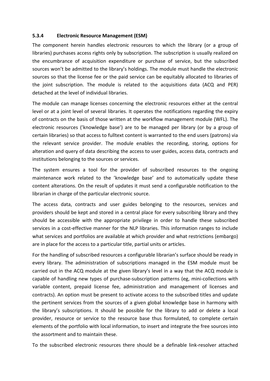#### **5.3.4 Electronic Resource Management (ESM)**

The component herein handles electronic resources to which the library (or a group of libraries) purchases access rights only by subscription. The subscription is usually realized on the encumbrance of acquisition expenditure or purchase of service, but the subscribed sources won't be admitted to the library's holdings. The module must handle the electronic sources so that the license fee or the paid service can be equitably allocated to libraries of the joint subscription. The module is related to the acquisitions data (ACQ and PER) detached at the level of individual libraries.

The module can manage licenses concerning the electronic resources either at the central level or at a joint level of several libraries. It operates the notifications regarding the expiry of contracts on the basis of those written at the workflow management module (WFL). The electronic resources ('knowledge base') are to be managed per library (or by a group of certain libraries) so that access to fulltext content is warranted to the end users (patrons) via the relevant service provider. The module enables the recording, storing, options for alteration and query of data describing the access to user guides, access data, contracts and institutions belonging to the sources or services.

The system ensures a tool for the provider of subscribed resources to the ongoing maintenance work related to the 'knowledge base' and to automatically update these content alterations. On the result of updates it must send a configurable notification to the librarian in charge of the particular electronic source.

The access data, contracts and user guides belonging to the resources, services and providers should be kept and stored in a central place for every subscribing library and they should be accessible with the appropriate privilege in order to handle these subscribed services in a cost-effective manner for the NLP libraries. This information ranges to include what services and portfolios are available at which provider and what restrictions (embargo) are in place for the access to a particular title, partial units or articles.

For the handling of subscribed resources a configurable librarian's surface should be ready in every library. The administration of subscriptions managed in the ESM module must be carried out in the ACQ module at the given library's level in a way that the ACQ module is capable of handling new types of purchase-subscription patterns (eg, mini-collections with variable content, prepaid license fee, administration and management of licenses and contracts). An option must be present to activate access to the subscribed titles and update the pertinent services from the sources of a given global knowledge base in harmony with the library's subscriptions. It should be possible for the library to add or delete a local provider, resource or service to the resource base thus formulated, to complete certain elements of the portfolio with local information, to insert and integrate the free sources into the assortment and to maintain these.

To the subscribed electronic resources there should be a definable link-resolver attached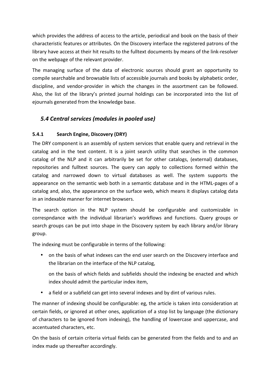which provides the address of access to the article, periodical and book on the basis of their characteristic features or attributes. On the Discovery interface the registered patrons of the library have access at their hit results to the fulltext documents by means of the link-resolver on the webpage of the relevant provider.

The managing surface of the data of electronic sources should grant an opportunity to compile searchable and browsable lists of accessible journals and books by alphabetic order, discipline, and vendor-provider in which the changes in the assortment can be followed. Also, the list of the library's printed journal holdings can be incorporated into the list of ejournals generated from the knowledge base.

# *5.4 Central services (modules in pooled use)*

## **5.4.1 Search Engine, Discovery (DRY)**

The DRY component is an assembly of system services that enable query and retrieval in the catalog and in the text content. It is a joint search utility that searches in the common catalog of the NLP and it can arbitrarily be set for other catalogs, (external) databases, repositories and fulltext sources. The query can apply to collections formed within the catalog and narrowed down to virtual databases as well. The system supports the appearance on the semantic web both in a semantic database and in the HTML-pages of a catalog and, also, the appearance on the surface web, which means it displays catalog data in an indexable manner for internet browsers.

The search option in the NLP system should be configurable and customizable in correspndance with the individual librarian's workflows and functions. Query groups or search groups can be put into shape in the Discovery system by each library and/or library group.

The indexing must be configurable in terms of the following:

• on the basis of what indexes can the end user search on the Discovery interface and the librarian on the interface of the NLP catalog,

on the basis of which fields and subfields should the indexing be enacted and which index should admit the particular index item,

• a field or a subfield can get into several indexes and by dint of various rules.

The manner of indexing should be configurable: eg, the article is taken into consideration at certain fields, or ignored at other ones, application of a stop list by language (the dictionary of characters to be ignored from indexing), the handling of lowercase and uppercase, and accentuated characters, etc.

On the basis of certain criteria virtual fields can be generated from the fields and to and an index made up thereafter accordingly.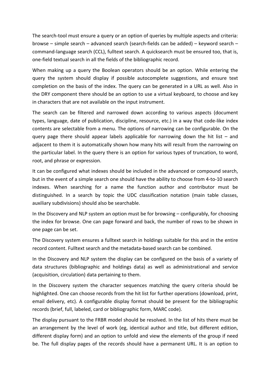The search-tool must ensure a query or an option of queries by multiple aspects and criteria: browse – simple search – advanced search (search-fields can be added) – keyword search – command-language search (CCL), fulltext search. A quicksearch must be ensured too, that is, one-field textual search in all the fields of the bibliographic record.

When making up a query the Boolean operators should be an option. While entering the query the system should display if possible autocomplete suggestions, and ensure text completion on the basis of the index. The query can be generated in a URL as well. Also in the DRY component there should be an option to use a virtual keyboard, to choose and key in characters that are not available on the input instrument.

The search can be filtered and narrowed down according to various aspects (document types, language, date of publication, discipline, resource, etc.) in a way that code-like index contents are selectable from a menu. The options of narrowing can be configurable. On the query page there should appear labels applicable for narrowing down the hit list  $-$  and adjacent to them it is automatically shown how many hits will result from the narrowing on the particular label. In the query there is an option for various types of truncation, to word, root, and phrase or expression.

It can be configured what indexes should be included in the advanced or compound search, but in the event of a simple search one should have the ability to choose from 4-to-10 search indexes. When searching for a name the function author and contributor must be distinguished. In a search by topic the UDC classification notation (main table classes, auxiliary subdivisions) should also be searchable.

In the Discovery and NLP system an option must be for browsing  $-$  configurably, for choosing the index for browse. One can page forward and back, the number of rows to be shown in one page can be set.

The Discovery system ensures a fulltext search in holdings suitable for this and in the entire record content. Fulltext search and the metadata-based search can be combined.

In the Discovery and NLP system the display can be configured on the basis of a variety of data structures (bibliographic and holdings data) as well as administrational and service (acquisition, circulation) data pertaining to them.

In the Discovery system the character sequences matching the query criteria should be highlighted. One can choose records from the hit list for further operations (download, print, email delivery, etc). A configurable display format should be present for the bibliographic records (brief, full, labeled, card or bibliographic form, MARC code).

The display pursuant to the FRBR model should be resolved. In the list of hits there must be an arrangement by the level of work (eg, identical author and title, but different edition, different display form) and an option to unfold and view the elements of the group if need be. The full display pages of the records should have a permanent URL. It is an option to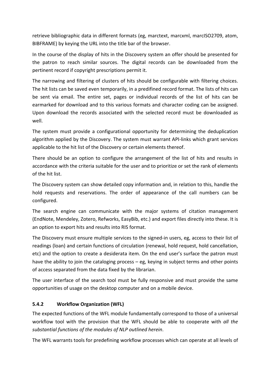retrieve bibliographic data in different formats (eg, marctext, marcxml, marcISO2709, atom, BIBFRAME) by keying the URL into the title bar of the browser.

In the course of the display of hits in the Discovery system an offer should be presented for the patron to reach similar sources. The digital records can be downloaded from the pertinent record if copyright prescriptions permit it.

The narrowing and filtering of clusters of hits should be configurable with filtering choices. The hit lists can be saved even temporarily, in a predifined record format. The lists of hits can be sent via email. The entire set, pages or individual records of the list of hits can be earmarked for download and to this various formats and character coding can be assigned. Upon download the records associated with the selected record must be downloaded as well.

The system must provide a configurational opportunity for determining the deduplication algorithm applied by the Discovery. The system must warrant API-links which grant services applicable to the hit list of the Discovery or certain elements thereof.

There should be an option to configure the arrangement of the list of hits and results in accordance with the criteria suitable for the user and to prioritize or set the rank of elements of the hit list.

The Discovery system can show detailed copy information and, in relation to this, handle the hold requests and reservations. The order of appearance of the call numbers can be configured.

The search engine can communicate with the major systems of citation management (EndNote, Mendeley, Zotero, Refworks, EasyBib, etc.) and export files directly into these. It is an option to export hits and results into RIS format.

The Discovery must ensure multiple services to the signed-in users, eg, access to their list of readings (loan) and certain functions of circulation (renewal, hold request, hold cancellation, etc) and the option to create a desiderata item. On the end user's surface the patron must have the ability to join the cataloging process – eg, keying in subject terms and other points of access separated from the data fixed by the librarian.

The user interface of the search tool must be fully responsive and must provide the same opportunities of usage on the desktop computer and on a mobile device.

#### **5.4.2 Workflow Organization (WFL)**

The expected functions of the WFL module fundamentally correspond to those of a universal workflow tool with the provision that the WFL should be able to cooperate with *all the* substantial functions of the modules of NLP outlined herein.

The WFL warrants tools for predefining workflow processes which can operate at all levels of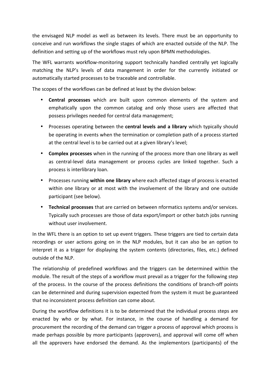the envisaged NLP model as well as between its levels. There must be an opportunity to conceive and run workflows the single stages of which are enacted outside of the NLP. The definition and setting up of the workflows must rely upon BPMN methodologies.

The WFL warrants workflow-monitoring support technically handled centrally yet logically matching the NLP's levels of data mangement in order for the currently initiated or automatically started processes to be traceable and controllable.

The scopes of the workflows can be defined at least by the division below:

- **Central processes** which are built upon common elements of the system and emphatically upon the common catalog and only those users are affected that possess privileges needed for central data management;
- Processes operating between the **central levels and a library** which typically should be operating in events when the termination or completion path of a process started at the central level is to be carried out at a given library's level;
- **Complex processes** when in the running of the process more than one library as well as central-level data management or process cycles are linked together. Such a process is interlibrary loan.
- Processes running **within one library** where each affected stage of process is enacted within one library or at most with the involvement of the library and one outside participant (see below).
- Technical processes that are carried on between nformatics systems and/or services. Typically such processes are those of data export/import or other batch jobs running without user involvement.

In the WFL there is an option to set up event triggers. These triggers are tied to certain data recordings or user actions going on in the NLP modules, but it can also be an option to interpret it as a trigger for displaying the system contents (directories, files, etc.) defined outside of the NLP.

The relationship of predefined workflows and the triggers can be determined within the module. The result of the steps of a workflow must prevail as a trigger for the following step of the process. In the course of the process definitions the conditions of branch-off points can be determined and during supervision expected from the system it must be guaranteed that no inconsistent process definition can come about.

During the workflow definitions it is to be determined that the individual process steps are enacted by who or by what. For instance, in the course of handling a demand for procurement the recording of the demand can trigger a process of approval which process is made perhaps possible by more participants (approvers), and approval will come off when all the approvers have endorsed the demand. As the implementors (participants) of the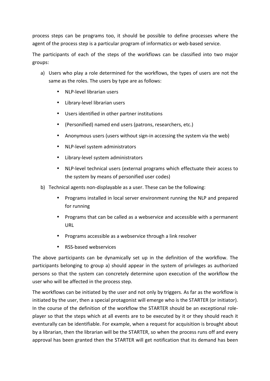process steps can be programs too, it should be possible to define processes where the agent of the process step is a particular program of informatics or web-based service.

The participants of each of the steps of the workflows can be classified into two major groups:

- a) Users who play a role determined for the workflows, the types of users are not the same as the roles. The users by type are as follows:
	- NLP-level librarian users
	- Library-level librarian users
	- Users identified in other partner institutions
	- (Personified) named end users (patrons, researchers, etc.)
	- Anonymous users (users without sign-in accessing the system via the web)
	- NLP-level system administrators
	- Library-level system administrators
	- NLP-level technical users (external programs which effectuate their access to the system by means of personified user codes)
- b) Technical agents non-displayable as a user. These can be the following:
	- Programs installed in local server environment running the NLP and prepared for running
	- Programs that can be called as a webservice and accessible with a permanent URL
	- Programs accessible as a webservice through a link resolver
	- RSS-based webservices

The above participants can be dynamically set up in the definition of the workflow. The participants belonging to group a) should appear in the system of privileges as authorized persons so that the system can concretely determine upon execution of the workflow the user who will be affected in the process step.

The workflows can be initiated by the user and not only by triggers. As far as the workflow is initiated by the user, then a special protagonist will emerge who is the STARTER (or initiator). In the course of the definition of the workflow the STARTER should be an exceptional roleplayer so that the steps which at all events are to be executed by it or they should reach it eventurally can be identifiable. For example, when a request for acquisition is brought about by a librarian, then the librarian will be the STARTER, so when the process runs off and every approval has been granted then the STARTER will get notification that its demand has been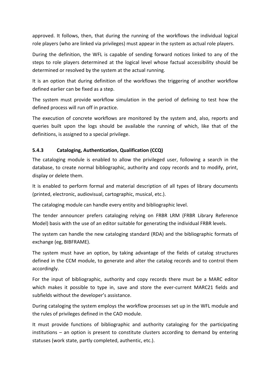approved. It follows, then, that during the running of the workflows the individual logical role players (who are linked via privileges) must appear in the system as actual role players.

During the definition, the WFL is capable of sending forward notices linked to any of the steps to role players determined at the logical level whose factual accessibility should be determined or resolved by the system at the actual running.

It is an option that during definition of the workflows the triggering of another workflow defined earlier can be fixed as a step.

The system must provide workflow simulation in the period of defining to test how the defined process will run off in practice.

The execution of concrete workflows are monitored by the system and, also, reports and queries built upon the logs should be available the running of which, like that of the definitions, is assigned to a special privilege.

#### **5.4.3 Cataloging, Authentication, Qualification (CCQ)**

The cataloging module is enabled to allow the privileged user, following a search in the database, to create normal bibliographic, authority and copy records and to modify, print, display or delete them.

It is enabled to perform formal and material description of all types of library documents (printed, electronic, audiovisual, cartographic, musical, etc.).

The cataloging module can handle every entity and bibliographic level.

The tender announcer prefers cataloging relying on FRBR LRM (FRBR Library Reference Model) basis with the use of an editor suitable for generating the individual FRBR levels.

The system can handle the new cataloging standard (RDA) and the bibliographic formats of exchange (eg, BIBFRAME).

The system must have an option, by taking advantage of the fields of catalog structures defined in the CCM module, to generate and alter the catalog records and to control them accordingly.

For the input of bibliographic, authority and copy records there must be a MARC editor which makes it possible to type in, save and store the ever-current MARC21 fields and subfields without the developer's assistance.

During cataloging the system employs the workflow processes set up in the WFL module and the rules of privileges defined in the CAD module.

It must provide functions of bibliographic and authority cataloging for the participating institutions  $-$  an option is present to constitute clusters according to demand by entering statuses (work state, partly completed, authentic, etc.).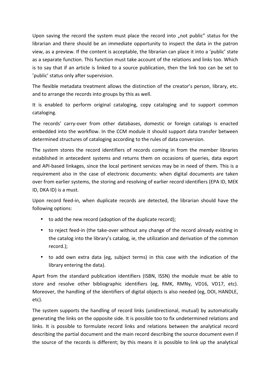Upon saving the record the system must place the record into "not public" status for the librarian and there should be an immediate opportunity to inspect the data in the patron view, as a preview. If the content is acceptable, the librarian can place it into a 'public' state as a separate function. This function must take account of the relations and links too. Which is to say that if an article is linked to a source publication, then the link too can be set to 'public' status only after supervision.

The flexible metadata treatment allows the distinction of the creator's person, library, etc. and to arrange the records into groups by this as well.

It is enabled to perform original cataloging, copy cataloging and to support common cataloging.

The records' carry-over from other databases, domestic or foreign catalogs is enacted embedded into the workflow. In the CCM module it should support data transfer between determined structures of cataloging according to the rules of data conversion.

The system stores the record identifiers of records coming in from the member libraries established in antecedent systems and returns them on occasions of queries, data export and API-based linkages, since the local pertinent services may be in need of them. This is a requirement also in the case of electronic documents: when digital documents are taken over from earlier systems, the storing and resolving of earlier record identifiers (EPA ID, MEK ID, DKA ID) is a must.

Upon record feed-in, when duplicate records are detected, the librarian should have the following options:

- to add the new record (adoption of the duplicate record);
- to reject feed-in (the take-over without any change of the record already existing in the catalog into the library's catalog, ie, the utilization and derivation of the common record.);
- to add own extra data (eg, subject terms) in this case with the indication of the library entering the data).

Apart from the standard publication identifiers (ISBN, ISSN) the module must be able to store and resolve other bibliographic identifiers (eg, RMK, RMNy, VD16, VD17, etc). Moreover, the handling of the identifiers of digital objects is also needed (eg, DOI, HANDLE, etc).

The system supports the handling of record links (unidirectional, mutual) by automatically generating the links on the opposite side. It is possible too to fix undetermined relations and links. It is possible to formulate record links and relations between the analytical record describing the partial document and the main record describing the source document even if the source of the records is different; by this means it is possible to link up the analytical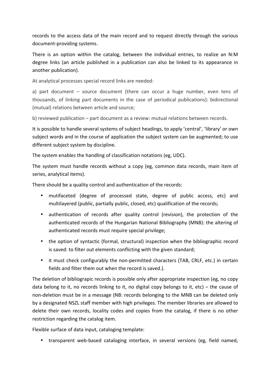records to the access data of the main record and to request directly through the various document-providing systems.

There is an option within the catalog, between the individual entries, to realize an N:M degree links (an article published in a publication can also be linked to its appearance in another publication).

At analytical processes special record links are needed:

a) part document  $-$  source document (there can occur a huge number, even tens of thousands, of linking part documents in the case of periodical publications): bidirectional (mutual) relations between article and source;

b) reviewed publication - part document as a review: mutual relations between records.

It is possible to handle several systems of subject headings, to apply 'central', 'library' or own subject words and in the course of application the subject system can be augmented; to use different subject system by discipline.

The system enables the handling of classification notations (eg, UDC).

The system must handle records without a copy (eg, common data records, main item of series, analytical items).

There should be a quality control and authentication of the records:

- mutifaceted (degree of processed state, degree of public access, etc) and multilayered (public, partially public, closed, etc) qualification of the records;
- authentication of records after quality control (revision), the protection of the authenticated records of the Hungarian National Bibliography (MNB): the altering of authenticated records must require special privilege;
- the option of syntactic (formal, structural) inspection when the bibliographic record is saved: to filter out elements conflicting with the given standard;
- it must check configurably the non-permitted characters (TAB, CRLF, etc.) in certain fields and filter them out when the record is saved.).

The deletion of bibliograpic records is possible only after appropriate inspection (eg, no copy data belong to it, no records linking to it, no digital copy belongs to it, etc) – the cause of non-deletion must be in a message (NB: records belonging to the MNB can be deleted only by a designated NSZL staff member with high privileges. The member libraries are allowed to delete their own records, locality codes and copies from the catalog, if there is no other restriction regarding the catalog item.

Flexible surface of data input, cataloging template:

• transparent web-based cataloging interface, in several versions (eg, field named,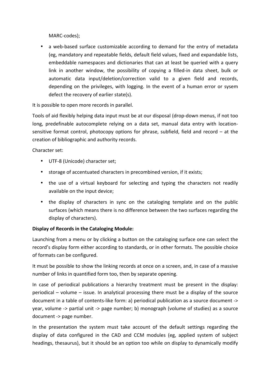MARC-codes);

• a web-based surface customizable according to demand for the entry of metadata (eg, mandatory and repeatable fields, default field values, fixed and expandable lists, embeddable namespaces and dictionaries that can at least be queried with a query link in another window, the possibility of copying a filled-in data sheet, bulk or automatic data input/deletion/correction valid to a given field and records, depending on the privileges, with logging. In the event of a human error or sysem defect the recovery of earlier state(s).

It is possible to open more records in parallel.

Tools of aid flexibly helping data input must be at our disposal (drop-down menus, if not too long, predefinable autocomplete relying on a data set, manual data entry with locationsensitive format control, photocopy options for phrase, subfield, field and record  $-$  at the creation of bibliographic and authority records.

Character set:

- UTF-8 (Unicode) character set:
- storage of accentuated characters in precombined version, if it exists;
- the use of a virtual keyboard for selecting and typing the characters not readily available on the input device;
- the display of characters in sync on the cataloging template and on the public surfaces (which means there is no difference between the two surfaces regarding the display of characters).

#### **Display of Records in the Cataloging Module:**

Launching from a menu or by clicking a button on the cataloging surface one can select the record's display form either according to standards, or in other formats. The possible choice of formats can be configured.

It must be possible to show the linking records at once on a screen, and, in case of a massive number of links in quantified form too, then by separate opening.

In case of periodical publications a hierarchy treatment must be present in the display: periodical  $-$  volume  $-$  issue. In analytical processing there must be a display of the source document in a table of contents-like form: a) periodical publication as a source document -> year, volume -> partial unit -> page number; b) monograph (volume of studies) as a source document -> page number.

In the presentation the system must take account of the default settings regarding the display of data configured in the CAD and CCM modules (eg, applied system of subject headings, thesaurus), but it should be an option too while on display to dynamically modify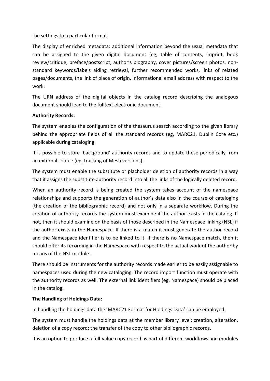the settings to a particular format.

The display of enriched metadata: additional information beyond the usual metadata that can be assigned to the given digital document (eg, table of contents, imprint, book review/critique, preface/postscript, author's biography, cover pictures/screen photos, nonstandard keywords/labels aiding retrieval, further recommended works, links of related pages/documents, the link of place of origin, informational email address with respect to the work.

The URN address of the digital objects in the catalog record describing the analogous document should lead to the fulltext electronic document.

#### **Authority Records:**

The system enables the configuration of the thesaurus search according to the given library behind the appropriate fields of all the standard records (eg, MARC21, Dublin Core etc.) applicable during cataloging.

It is possible to store 'background' authority records and to update these periodically from an external source (eg, tracking of Mesh versions).

The system must enable the substitute or placholder deletion of authority records in a way that it assigns the substitute authority record into all the links of the logically deleted record.

When an authority record is being created the system takes account of the namespace relationships and supports the generation of author's data also in the course of cataloging (the creation of the bibliographic record) and not only in a separate workflow. During the creation of authority records the system must examine if the author exists in the catalog. If not, then it should examine on the basis of those described in the Namespace linking (NSL) if the author exists in the Namespace. If there is a match it must generate the author record and the Namespace identifier is to be linked to it. If there is no Namespace match, then it should offer its recording in the Namespace with respect to the actual work of the author by means of the NSL module.

There should be instruments for the authority records made earlier to be easily assignable to namespaces used during the new cataloging. The record import function must operate with the authority records as well. The external link identifiers (eg, Namespace) should be placed in the catalog.

#### **The Handling of Holdings Data:**

In handling the holdings data the 'MARC21 Format for Holdings Data' can be employed.

The system must handle the holdings data at the member library level: creation, alteration, deletion of a copy record; the transfer of the copy to other bibliographic records.

It is an option to produce a full-value copy record as part of different workflows and modules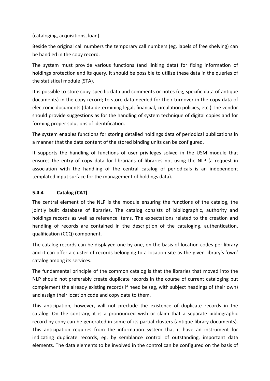(cataloging, acquisitions, loan).

Beside the original call numbers the temporary call numbers (eg, labels of free shelving) can be handled in the copy record.

The system must provide various functions (and linking data) for fixing information of holdings protection and its query. It should be possible to utilize these data in the queries of the statistical module (STA).

It is possible to store copy-specific data and comments or notes (eg, specific data of antique documents) in the copy record; to store data needed for their turnover in the copy data of electronic documents (data determining legal, financial, circulation policies, etc.) The vendor should provide suggestions as for the handling of system technique of digital copies and for forming proper solutions of identification.

The system enables functions for storing detailed holdings data of periodical publications in a manner that the data content of the stored binding units can be configured.

It supports the handling of functions of user privileges solved in the USM module that ensures the entry of copy data for librarians of libraries not using the NLP (a request in association with the handling of the central catalog of periodicals is an independent templated input surface for the management of holdings data).

#### **5.4.4 Catalog (CAT)**

The central element of the NLP is the module ensuring the functions of the catalog, the jointly built database of libraries. The catalog consists of bibliographic, authority and holdings records as well as reference items. The expectations related to the creation and handling of records are contained in the description of the cataloging, authentication, qualification (CCQ) component.

The catalog records can be displayed one by one, on the basis of location codes per library and it can offer a cluster of records belonging to a location site as the given library's 'own' catalog among its services.

The fundamental principle of the common catalog is that the libraries that moved into the NLP should not preferably create duplicate records in the course of current cataloging but complement the already existing records if need be (eg, with subject headings of their own) and assign their location code and copy data to them.

This anticipation, however, will not preclude the existence of duplicate records in the catalog. On the contrary, it is a pronounced wish or claim that a separate bibliographic record by copy can be generated in some of its partial clusters (antique library documents). This anticipation requires from the information system that it have an instrument for indicating duplicate records, eg, by semblance control of outstanding, important data elements. The data elements to be involved in the control can be configured on the basis of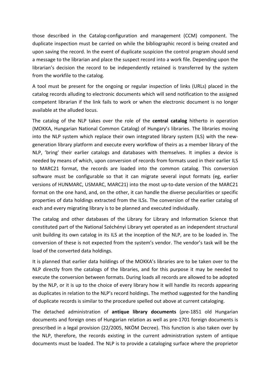those described in the Catalog-configuration and management (CCM) component. The duplicate inspection must be carried on while the bibliographic record is being created and upon saving the record. In the event of duplicate suspicion the control program should send a message to the librarian and place the suspect record into a work file. Depending upon the librarian's decision the record to be independently retained is transferred by the system from the workfile to the catalog.

A tool must be present for the ongoing or regular inspection of links (URLs) placed in the catalog records alluding to electronic documents which will send notification to the assigned competent librarian if the link fails to work or when the electronic document is no longer available at the alluded locus.

The catalog of the NLP takes over the role of the **central catalog** hitherto in operation (MOKKA, Hungarian National Common Catalog) of Hungary's libraries. The libraries moving into the NLP system which replace their own integrated library system (ILS) with the newgeneration library platform and execute every workflow of theirs as a member library of the NLP, 'bring' their earlier catalogs and databases with themselves. It implies a device is needed by means of which, upon conversion of records from formats used in their earlier ILS to MARC21 format, the records are loaded into the common catalog. This conversion software must be configurable so that it can migrate several input formats (eg, earlier versions of HUNMARC, USMARC, MARC21) into the most up-to-date version of the MARC21 format on the one hand, and, on the other, it can handle the diverse peculiarities or specific properties of data holdings extracted from the ILSs. The conversion of the earlier catalog of each and every migrating library is to be planned and executed individually.

The catalog and other databases of the Library for Library and Information Science that constituted part of the National Széchényi Library yet operated as an independent structural unit building its own catalog in its ILS at the inception of the NLP, are to be loaded in. The conversion of these is not expected from the system's vendor. The vendor's task will be the load of the converted data holdings.

It is planned that earlier data holdings of the MOKKA's libraries are to be taken over to the NLP directly from the catalogs of the libraries, and for this purpose it may be needed to execute the conversion between formats. During loads all records are allowed to be adopted by the NLP, or it is up to the choice of every library how it will handle its records appearing as duplicates in relation to the NLP's record holdings. The method suggested for the handling of duplicate records is similar to the procedure spelled out above at current cataloging.

The detached administration of **antique library documents** (pre-1851 old Hungarian documents and foreign ones of Hungarian relation as well as pre-1701 foreign documents is prescribed in a legal provision (22/2005, NKÖM Decree). This function is also taken over by the NLP, therefore, the records existing in the current administration system of antique documents must be loaded. The NLP is to provide a cataloging surface where the proprietor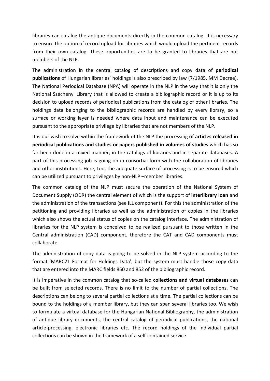libraries can catalog the antique documents directly in the common catalog. It is necessary to ensure the option of record upload for libraries which would upload the pertinent records from their own catalog. These opportunities are to be granted to libraries that are not members of the NLP.

The administration in the central catalog of descriptions and copy data of **periodical publications** of Hungarian libraries' holdings is also prescribed by law (7/1985. MM Decree). The National Periodical Database (NPA) will operate in the NLP in the way that it is only the National Széchényi Library that is allowed to create a bibliographic record or it is up to its decision to upload records of periodical publications from the catalog of other libraries. The holdings data belonging to the bibliographic records are handled by every library, so a surface or working layer is needed where data input and maintenance can be executed pursuant to the appropriate privilege by libraries that are not members of the NLP.

It is our wish to solve within the framework of the NLP the processing of articles released in **periodical publications and studies or papers published in volumes of studies** which has so far been done in a mixed manner, in the catalogs of libraries and in separate databases. A part of this processing job is going on in consortial form with the collaboration of libraries and other institutions. Here, too, the adequate surface of processing is to be ensured which can be utilized pursuant to privileges by non-NLP –member libraries.

The common catalog of the NLP must secure the operation of the National System of Document Supply (ODR) the central element of which is the support of *interlibrary loan* and the administration of the transactions (see ILL component). For this the administration of the petitioning and providing libraries as well as the administration of copies in the libraries which also shows the actual status of copies on the catalog interface. The administration of libraries for the NLP system is conceived to be realized pursuant to those written in the Central administration (CAD) component, therefore the CAT and CAD components must collaborate.

The administration of copy data is going to be solved in the NLP system according to the format 'MARC21 Format for Holdings Data', but the system must handle those copy data that are entered into the MARC fields 850 and 852 of the bibliographic record.

It is imperative in the common catalog that so-called **collections and virtual databases** can be built from selected records. There is no limit to the number of partial collections. The descriptions can belong to several partial collections at a time. The partial collections can be bound to the holdings of a member library, but they can span several libraries too. We wish to formulate a virtual database for the Hungarian National Bibliography, the administration of antique library documents, the central catalog of periodical publications, the national article-processing, electronic libraries etc. The record holdings of the individual partial collections can be shown in the framework of a self-contained service.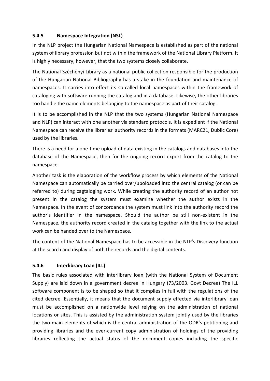#### **5.4.5 Namespace Integration (NSL)**

In the NLP project the Hungarian National Namespace is established as part of the national system of library profession but not within the framework of the National Library Platform. It is highly necessary, however, that the two systems closely collaborate.

The National Széchényi Library as a national public collection responsible for the production of the Hungarian National Bibliography has a stake in the foundation and maintenance of namespaces. It carries into effect its so-called local namespaces within the framework of cataloging with software running the catalog and in a database. Likewise, the other libraries too handle the name elements belonging to the namespace as part of their catalog.

It is to be accomplished in the NLP that the two systems (Hungarian National Namespace and NLP) can interact with one another via standard protocols. It is expedient if the National Namespace can receive the libraries' authority records in the formats (MARC21, Dublic Core) used by the libraries.

There is a need for a one-time upload of data existing in the catalogs and databases into the database of the Namespace, then for the ongoing record export from the catalog to the namespace. 

Another task is the elaboration of the workflow process by which elements of the National Namespace can automatically be carried over/upoloaded into the central catalog (or can be referred to) during cagtaloging work. While creating the authority record of an author not present in the catalog the system must examine whether the author exists in the Namespace. In the event of concordance the system must link into the authority record the author's identifier in the namespace. Should the author be still non-existent in the Namespace, the authority record created in the catalog together with the link to the actual work can be handed over to the Namespace.

The content of the National Namespace has to be accessible in the NLP's Discovery function at the search and display of both the records and the digital contents.

#### **5.4.6 Interlibrary Loan (ILL)**

The basic rules associated with interlibrary loan (with the National System of Document Supply) are laid down in a government decree in Hungary (73/2003. Govt Decree) The ILL software component is to be shaped so that it complies in full with the regulations of the cited decree. Essentially, it means that the document supply effected via interlibrary loan must be accomplished on a nationwide level relying on the administration of national locations or sites. This is assisted by the administration system jointly used by the libraries the two main elements of which is the central administration of the ODR's petitioning and providing libraries and the ever-current copy administration of holdings of the providing libraries reflecting the actual status of the document copies including the specific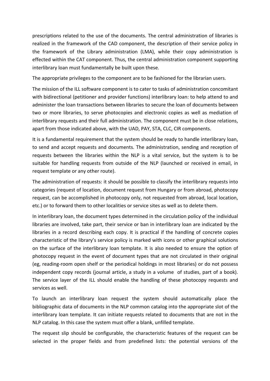prescriptions related to the use of the documents. The central administration of libraries is realized in the framework of the CAD component, the description of their service policy in the framework of the Library administration (LMA), while their copy administration is effected within the CAT component. Thus, the central administration component supporting interlibrary loan must fundamentally be built upon these.

The appropriate privileges to the component are to be fashioned for the librarian users.

The mission of the ILL software component is to cater to tasks of administration concomitant with bidirectional (petitioner and provider functions) interlibrary loan: to help attend to and administer the loan transactions between libraries to secure the loan of documents between two or more libraries, to serve photocopies and electronic copies as well as mediation of interlibrary requests and their full administration. The component must be in close relations, apart from those indicated above, with the UAD, PAY, STA, CLC, CIR components.

It is a fundamental requirement that the system should be ready to handle interlibrary loan, to send and accept requests and documents. The administration, sending and reception of requests between the libraries within the NLP is a vital service, but the system is to be suitable for handling requests from outside of the NLP (launched or received in email, in request template or any other route).

The administration of requests: it should be possible to classify the interlibrary requests into categories (request of location, document request from Hungary or from abroad, photocopy request, can be accomplished in photocopy only, not requested from abroad, local location, etc.) or to forward them to other localities or service sites as well as to delete them.

In interlibrary loan, the document types determined in the circulation policy of the individual libraries are involved, take part, their service or ban in interlibrary loan are indicated by the libraries in a record describing each copy. It is practical if the handling of concrete copies characteristic of the library's service policy is marked with icons or other graphical solutions on the surface of the interlibrary loan template. It is also needed to ensure the option of photocopy request in the event of document types that are not circulated in their original (eg, reading-room open shelf or the periodical holdings in most libraries) or do not possess independent copy records (journal article, a study in a volume of studies, part of a book). The service layer of the ILL should enable the handling of these photocopy requests and services as well.

To launch an interlibrary loan request the system should automatically place the bibliographic data of documents in the NLP common catalog into the appropriate slot of the interlibrary loan template. It can initiate requests related to documents that are not in the NLP catalog. In this case the system must offer a blank, unfilled template.

The request slip should be configurable, the characteristic features of the request can be selected in the proper fields and from predefined lists: the potential versions of the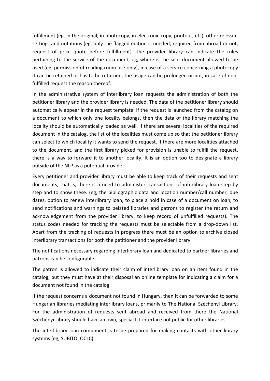fulfillment (eg, in the original, in photocopy, in electronic copy, printout, etc), other relevant settings and notations (eg, only the flagged edition is needed, required from abroad or not, request of price quote before fulfillment). The provider library can indicate the rules pertaining to the service of the document, eg, where is the sent document allowed to be used (eg, permission of reading room use only), in case of a service concerning a photocopy it can be retained or has to be returned, the usage can be prolonged or not, in case of nonfulfilled request the reason thereof.

In the administrative system of interlibrary loan requests the administration of both the petitioner library and the provider library is needed. The data of the petitioner library should automatically appear in the request template. If the request is launched from the catalog on a document to which only one locality belongs, then the data of the library matching the locality should be automatically loaded as well. If there are several localities of the required document in the catalog, the list of the localities must come up so that the petitioner library can select to which locality it wants to send the request. If there are more localities attached to the document, and the first library picked for provision is unable to fulfill the request, there is a way to forward it to another locality. It is an option too to designate a library outside of the NLP as a potential provider.

Every petitioner and provider library must be able to keep track of their requests and sent documents, that is, there is a need to administer transactions of interlibrary loan step by step and to show these. (eg, the bibliographic data and location number/call number, due dates, option to renew interlibrary loan, to place a hold in case of a document on loan, to send notifications and warnings to belated libraries and patrons to register the return and acknowledgement from the provider library, to keep record of unfulfilled requests). The status codes needed for tracking the requests must be selectable from a drop-down list. Apart from the tracking of requests in progress there must be an option to archive closed interlibrary transactions for both the petitioner and the provider library.

The notifications necessary regarding interlibrary loan and dedicated to partner libraries and patrons can be configurable.

The patron is allowed to indicate their claim of interlibrary loan on an item found in the catalog, but they must have at their disposal an online template for indicating a claim for a document not found in the catalog.

If the request concerns a document not found in Hungary, then it can be forwarded to some Hungarian libraries mediating interlibrary loans, primarily to The National Széchényi Library. For the administration of requests sent abroad and received from there the National Széchényi Library should have an own, special ILL interface not public for other libraries.

The interlibrary loan component is to be prepared for making contacts with other library systems (eg, SUBITO, OCLC).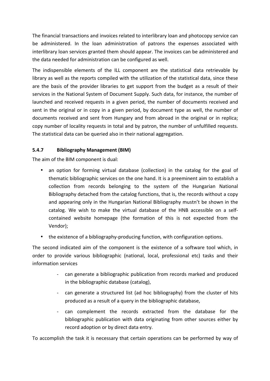The financial transactions and invoices related to interlibrary loan and photocopy service can be administered. In the loan administration of patrons the expenses associated with interlibrary loan services granted them should appear. The invoices can be administered and the data needed for administration can be configured as well.

The indispensible elements of the ILL component are the statistical data retrievable by library as well as the reports compiled with the utilization of the statistical data, since these are the basis of the provider libraries to get support from the budget as a result of their services in the National System of Document Supply. Such data, for instance, the number of launched and received requests in a given period, the number of documents received and sent in the original or in copy in a given period, by document type as well, the number of documents received and sent from Hungary and from abroad in the original or in replica; copy number of locality requests in total and by patron, the number of unfulfilled requests. The statistical data can be queried also in their national aggregation.

#### **5.4.7 Bibliography Management (BIM)**

The aim of the BIM component is dual:

- an option for forming virtual database (collection) in the catalog for the goal of thematic bibliographic services on the one hand. It is a preeminent aim to establish a collection from records belonging to the system of the Hungarian National Bibliography detached from the catalog functions, that is, the records without a copy and appearing only in the Hungarian National Bibliography mustn't be shown in the catalog. We wish to make the virtual database of the HNB accessible on a selfcontained website homepage (the formation of this is not expected from the Vendor);
- the existence of a bibliography-producing function, with configuration options.

The second indicated aim of the component is the existence of a software tool which, in order to provide various bibliographic (national, local, professional etc) tasks and their information services 

- can generate a bibliographic publication from records marked and produced in the bibliographic database (catalog),
- can generate a structured list (ad hoc bibliography) from the cluster of hits produced as a result of a query in the bibliographic database,
- can complement the records extracted from the database for the bibliographic publication with data originating from other sources either by record adoption or by direct data entry.

To accomplish the task it is necessary that certain operations can be performed by way of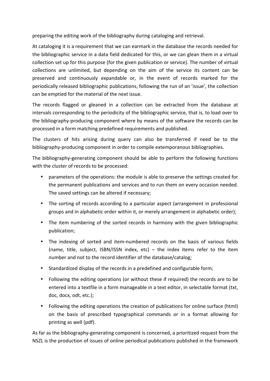preparing the editing work of the bibliography during cataloging and retrieval.

At cataloging it is a requirement that we can earmark in the database the records needed for the bibliographic service in a data field dedicated for this, or we can glean them in a virtual collection set up for this purpose (for the given publication or service). The number of virtual collections are unlimited, but depending on the aim of the service its content can be preserved and continuously expandable or, in the event of records marked for the periodically released bibliographic publications, following the run of an 'issue', the collection can be emptied for the material of the next issue.

The records flagged or gleaned in a collection can be extracted from the database at intervals corresponding to the periodicity of the bibliographic service, that is, to load over to the bibliography-producing component where by means of the software the records can be processed in a form matching predefined requirements and published.

The clusters of hits arising during query can also be transferred if need be to the bibliography-producing component in order to compile extemporanous bibliographies.

The bibliography-generating component should be able to perform the following functions with the cluster of records to be processed:

- parameters of the operations: the module is able to preserve the settings created for the permanent publications and services and to run them on every occasion needed. The saved settings can be altered if necessary;
- The sorting of records according to a particular aspect (arrangement in professional groups and in alphabetic order within it, or merely arrangement in alphabetic order);
- The item numbering of the sorted records in harmony with the given bibliographic publication;
- The indexing of sorted and item-numbered records on the basis of various fields (name, title, subject, ISBN/ISSN index, etc) – the index items refer to the item number and not to the record identifier of the database/catalog:
- Standardized display of the records in a predefined and configurable form;
- Following the editing operations (or without these if required) the records are to be entered into a textfile in a form manageable in a text editor, in selectable format (txt, doc, docx, odt, etc.);
- Following the editing operations the creation of publications for online surface (html) on the basis of prescribed typographical commands or in a format allowing for printing as well (pdf).

As far as the bibliography-generating component is concerned, a prioritized request from the NSZL is the production of issues of online periodical publications published in the framework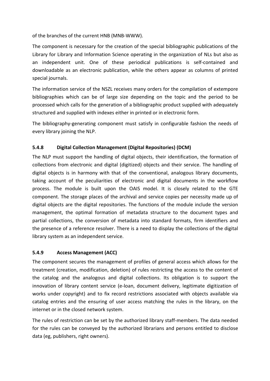of the branches of the current HNB (MNB-WWW).

The component is necessary for the creation of the special bibliographic publications of the Library for Library and Information Science operating in the organization of NLs but also as an independent unit. One of these periodical publications is self-contained and downloadable as an electronic publication, while the others appear as columns of printed special journals.

The information service of the NSZL receives many orders for the compilation of extempore bibliographies which can be of large size depending on the topic and the period to be processed which calls for the generation of a bibliographic product supplied with adequately structured and supplied with indexes either in printed or in electronic form.

The bibliography-generating component must satisfy in configurable fashion the needs of every library joining the NLP.

#### **5.4.8 Digital Collection Management (Digital Repositories) (DCM)**

The NLP must support the handling of digital objects, their identification, the formation of collections from electronic and digital (digitized) objects and their service. The handling of digital objects is in harmony with that of the conventional, analogous library documents, taking account of the peculiarities of electronic and digital documents in the workflow process. The module is built upon the OAIS model. It is closely related to the GTE component. The storage places of the archival and service copies per necessity made up of digital objects are the digital repositories. The functions of the module include the version management, the optimal formation of metadata structure to the document types and partial collections, the conversion of metadata into standard formats, firm identifiers and the presence of a reference resolver. There is a need to display the collections of the digital library system as an independent service.

#### **5.4.9 Access Management (ACC)**

The component secures the management of profiles of general access which allows for the treatment (creation, modification, deletion) of rules restricting the access to the content of the catalog and the analogous and digital collections. Its obligation is to support the innovation of library content service (e-loan, document delivery, legitimate digitization of works under copyright) and to fix record restrictions associated with objects available via catalog entries and the ensuring of user access matching the rules in the library, on the internet or in the closed network system.

The rules of restriction can be set by the authorized library staff-members. The data needed for the rules can be conveyed by the authorized librarians and persons entitled to disclose data (eg, publishers, right owners).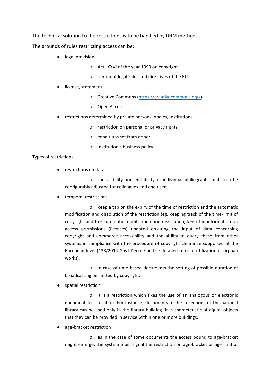The technical solution to the restrictions is to be handled by DRM methods.

The grounds of rules restricting access can be:

- legal provision
	- o Act LXXVI of the year 1999 on copyright
	- o pertinent legal rules and directives of the EU
- license, statement
	- **o** Creative Commons (https://creativecommons.org/)
	- o Open Access
- restrictions determined by private persons, bodies, institutions
	- o restriction on personal or privacy rights
	- o conditions set from donor
	- o institution's business policy

#### Types of restrictions

● restrictions on data

o the visibility and editability of individual bibliographic data can be configurably adjusted for colleagues and end users

● temporal restrictions

o keep a tab on the expiry of the time of restriction and the automatic modification and dissolution of the restriction (eg, keeping track of the time-limit of copyright and the automatic modification and dissolution, keep the information on access permissions (licenses) updated ensuring the input of data concerning copyright and commerce accessibility and the ability to query these from other systems in compliance with the procedure of copyright clearance supported at the European level (138/2014 Govt Decree on the detailed rules of utilization of orphan works).

o in case of time-based documents the setting of possible duration of broadcasting permitted by copyright.

spatial restriction

o it is a restriction which fixes the use of an analogous or electronic document to a location. For instance, documents in the collections of the national library can be used only in the library building. It is characteristic of digital objects that they can be provided in service within one or more buildings.

age-bracket restriction

o as in the case of some documents the access bound to age-bracket might emerge, the system must signal the restriction on age-bracket or age limit at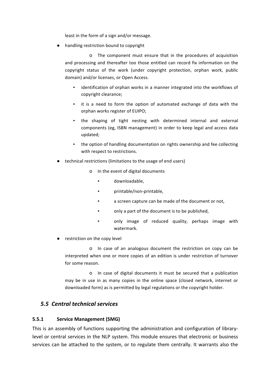least in the form of a sign and/or message.

● handling restriction bound to copyright

o The component must ensure that in the procedures of acquisition and processing and thereafter too those entitled can record fix information on the copyright status of the work (under copyright protection, orphan work, public domain) and/or licenses, or Open Access.

- **•** identification of orphan works in a manner integrated into the workflows of copyright clearance;
- . it is a need to form the option of automated exchange of data with the orphan works register of EUIPO;
- . the shaping of tight nesting with determined internal and external components (eg, ISBN management) in order to keep legal and access data updated;
- . the option of handling documentation on rights ownership and fee collecting with respect to restrictions.
- technical restrictions (limitations to the usage of end users)
	- o In the event of digital documents
		- downloadable,
		- printable/non-printable,
		- **•** a screen capture can be made of the document or not,
		- only a part of the document is to be published,
		- only image of reduced quality, perhaps image with watermark.
- restriction on the copy level

o In case of an analogous document the restriction on copy can be interpreted when one or more copies of an edition is under restriction of turnover for some reason.

o In case of digital documents it must be secured that a publication may be in use in as many copies in the online space (closed network, internet or downloaded form) as is permitted by legal regulations or the copyright holder.

#### *5.5 Central technical services*

#### **5.5.1 Service Management (SMG)**

This is an assembly of functions supporting the administration and configuration of librarylevel or central services in the NLP system. This module ensures that electronic or business services can be attached to the system, or to regulate them centrally. It warrants also the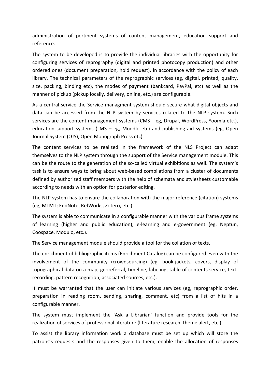administration of pertinent systems of content management, education support and reference.

The system to be developed is to provide the individual libraries with the opportunity for configuring services of reprography (digital and printed photocopy production) and other ordered ones (document preparation, hold request). in accordance with the policy of each library. The technical parameters of the reprographic services (eg, digital, printed, quality, size, packing, binding etc), the modes of payment (bankcard, PayPal, etc) as well as the manner of pickup (pickup locally, delivery, online, etc.) are configurable.

As a central service the Service managment system should secure what digital objects and data can be accessed from the NLP system by services related to the NLP system. Such services are the content management systems (CMS – eg, Drupal, WordPress, Yoomla etc.), education support systems (LMS – eg, Moodle etc) and publishing aid systems (eg, Open Journal System (OJS), Open Monograph Press etc).

The content services to be realized in the framework of the NLS Project can adapt themselves to the NLP system through the support of the Service management module. This can be the route to the generation of the so-called virtual exhibitions as well. The system's task is to ensure ways to bring about web-based compilations from a cluster of documents defined by authorized staff members with the help of schemata and stylesheets customable according to needs with an option for posterior editing.

The NLP system has to ensure the collaboration with the major reference (citation) systems (eg, MTMT; EndNote, RefWorks, Zotero, etc.)

The system is able to communicate in a configurable manner with the various frame systems of learning (higher and public education), e-learning and e-government (eg, Neptun, Coospace, Modulo, etc.).

The Service management module should provide a tool for the collation of texts.

The enrichment of bibliographic items (Enrichment Catalog) can be configured even with the involvement of the community (crowdsourcing) (eg, book-jackets, covers, display of topographical data on a map, georeferral, timeline, labeling, table of contents service, textrecording, pattern recognition, associated sources, etc.).

It must be warranted that the user can initiate various services (eg, reprographic order, preparation in reading room, sending, sharing, comment, etc) from a list of hits in a configurable manner.

The system must implement the 'Ask a Librarian' function and provide tools for the realization of services of professional literature (literature research, theme alert, etc.)

To assist the library information work a database must be set up which will store the patrons's requests and the responses given to them, enable the allocation of responses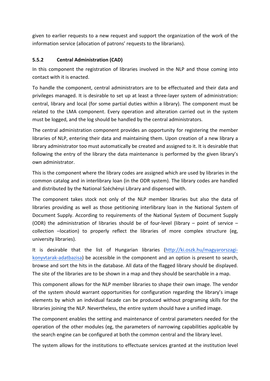given to earlier requests to a new request and support the organization of the work of the information service (allocation of patrons' requests to the librarians).

#### **5.5.2 Central Administration (CAD)**

In this component the registration of libraries involved in the NLP and those coming into contact with it is enacted.

To handle the component, central administrators are to be effectuated and their data and privileges managed. It is desirable to set up at least a three-layer system of administration: central, library and local (for some partial duties within a library). The component must be related to the LMA component. Every operation and alteration carried out in the system must be logged, and the log should be handled by the central administrators.

The central administration component provides an opportunity for registering the member libraries of NLP, entering their data and maintaining them. Upon creation of a new library a library administrator too must automatically be created and assigned to it. It is desirable that following the entry of the library the data maintenance is performed by the given library's own administrator. 

This is the component where the library codes are assigned which are used by libraries in the common catalog and in interlibrary loan (in the ODR system). The library codes are handled and distributed by the National Széchényi Library and dispensed with.

The component takes stock not only of the NLP member libraries but also the data of libraries providing as well as those petitioning interlibrary loan in the National System of Document Supply. According to requirements of the National System of Document Supply (ODR) the administration of libraries should be of four-level (library – point of service – collection -location) to properly reflect the libraries of more complex structure (eg, university libraries).

It is desirable that the list of Hungarian libraries (http://ki.oszk.hu/magyarorszagikonyvtarak-adatbazisa) be accessible in the component and an option is present to search, browse and sort the hits in the database. All data of the flagged library should be displayed. The site of the libraries are to be shown in a map and they should be searchable in a map.

This component allows for the NLP member libraries to shape their own image. The vendor of the system should warrant opportunities for configuration regarding the library's image elements by which an indvidual facade can be produced without programing skills for the libraries joining the NLP. Nevertheless, the entire system should have a unified image.

The component enables the setting and maintenance of central parameters needed for the operation of the other modules (eg, the parameters of narrowing capabilities applicable by the search engine can be configured at both the common central and the library level.

The system allows for the institutions to effectuate services granted at the institution level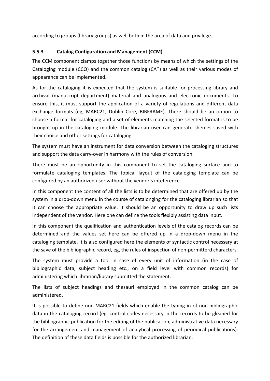according to groups (library groups) as well both in the area of data and privilege.

#### **5.5.3 Catalog Configuration and Management (CCM)**

The CCM component clamps together those functions by means of which the settings of the Cataloging module (CCQ) and the common catalog (CAT) as well as their various modes of appearance can be implemented.

As for the cataloging it is expected that the system is suitable for processing library and archival (manuscript department) material and analogous and electronic documents. To ensure this, it must support the application of a variety of regulations and different data exchange formats (eg, MARC21, Dublin Core, BIBFRAME). There should be an option to choose a format for cataloging and a set of elements matching the selected format is to be brought up in the cataloging module. The librarian user can generate shemes saved with their choice and other settings for cataloging.

The system must have an instrument for data conversion between the cataloging structures and support the data carry-over in harmony with the rules of conversion.

There must be an opportunity in this component to set the cataloging surface and to formulate cataloging templates. The topical layout of the cataloging template can be configured by an authorized user without the vendor's inteference.

In this component the content of all the lists is to be determined that are offered up by the system in a drop-down menu in the course of catalonging for the cataloging librarian so that it can choose the appropriate value. It should be an opportunity to draw up such lists independent of the vendor. Here one can define the tools flexibly assisting data input.

In this component the qualification and authentication levels of the catalog records can be determined and the values set here can be offered up in a drop-down menu in the cataloging template. It is also configured here the elements of syntactic control necessary at the save of the bibliographic record, eg, the rules of inspection of non-permitterd characters.

The system must provide a tool in case of every unit of information (in the case of bibliographic data, subject heading etc., on a field level with common records) for administering which librarian/library submitted the statement.

The lists of subject headings and thesauri employed in the common catalog can be administered.

It is possible to define non-MARC21 fields which enable the typing in of non-bibliographic data in the cataloging record (eg, control codes necessary in the records to be gleaned for the bibliographic publication for the editing of the publication; administrative data necessary for the arrangement and management of analytical processing of periodical publications). The definition of these data fields is possible for the authorized librarian.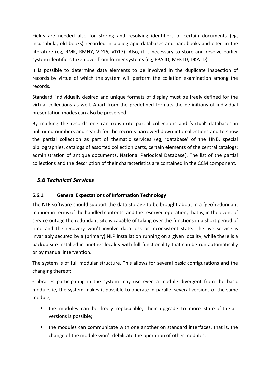Fields are needed also for storing and resolving identifiers of certain documents (eg, incunabula, old books) recorded in bibliograpic databases and handbooks and cited in the literature (eg, RMK, RMNY, VD16, VD17). Also, it is necessary to store and resolve earlier system identifiers taken over from former systems (eg, EPA ID, MEK ID, DKA ID).

It is possible to determine data elements to be involved in the duplicate inspection of records by virtue of which the system will perform the collation examination among the records.

Standard, individually desired and unique formats of display must be freely defined for the virtual collections as well. Apart from the predefined formats the definitions of individual presentation modes can also be preserved.

By marking the records one can constitute partial collections and 'virtual' databases in unlimited numbers and search for the records narrowed down into collections and to show the partial collection as part of thematic services (eg, 'database' of the HNB, special bibliographies, catalogs of assorted collection parts, certain elements of the central catalogs: administration of antique documents, National Periodical Database). The list of the partial collections and the description of their characteristics are contained in the CCM component.

# *5.6 Technical Services*

#### **5.6.1 General Expectations of Information Technology**

The NLP software should support the data storage to be brought about in a (geo)redundant manner in terms of the handled contents, and the reserved operation, that is, in the event of service outage the redundant site is capable of taking over the functions in a short period of time and the recovery won't involve data loss or inconsistent state. The live service is invariably secured by a (primary) NLP installation running on a given locality, while there is a backup site installed in another locality with full functionality that can be run automatically or by manual intervention.

The system is of full modular structure. This allows for several basic configurations and the changing thereof:

- libraries participating in the system may use even a module divergent from the basic module, ie, the system makes it possible to operate in parallel several versions of the same module,

- the modules can be freely replaceable, their upgrade to more state-of-the-art versions is possible;
- the modules can communicate with one another on standard interfaces, that is, the change of the module won't debilitate the operation of other modules;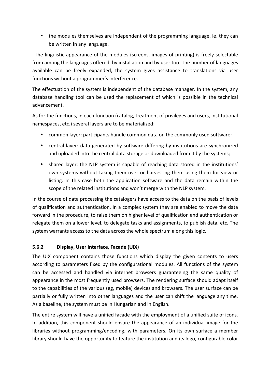• the modules themselves are independent of the programming language, ie, they can be written in any language.

The linguistic appearance of the modules (screens, images of printing) is freely selectable from among the languages offered, by installation and by user too. The number of languages available can be freely expanded, the system gives assistance to translations via user functions without a programmer's interference.

The effectuation of the system is independent of the database manager. In the system, any database handling tool can be used the replacement of which is possible in the technical advancement.

As for the functions, in each function (catalog, treatment of privileges and users, institutional namespaces, etc.) several layers are to be materialized:

- common layer: participants handle common data on the commonly used software;
- central layer: data generated by software differing by institutions are synchronized and uploaded into the central data storage or downloaded from it by the systems;
- shared layer: the NLP system is capable of reaching data stored in the institutions' own systems without taking them over or harvesting them using them for view or listing. In this case both the application software and the data remain within the scope of the related institutions and won't merge with the NLP system.

In the course of data processing the catalogers have access to the data on the basis of levels of qualification and authentication. In a complex system they are enabled to move the data forward in the procedure, to raise them on higher level of qualification and authentication or relegate them on a lower level, to delegate tasks and assignments, to publish data, etc. The system warrants access to the data across the whole spectrum along this logic.

#### **5.6.2 Display, User Interface, Facade (UIX)**

The UIX component contains those functions which display the given contents to users according to parameters fixed by the configurational modules. All functions of the system can be accessed and handled via internet browsers guaranteeing the same quality of appearance in the most frequently used browsers. The rendering surface should adapt itself to the capabilities of the various (eg, mobile) devices and browsers. The user surface can be partially or fully written into other languages and the user can shift the language any time. As a baseline, the system must be in Hungarian and in English.

The entire system will have a unified facade with the employment of a unified suite of icons. In addition, this component should ensure the appearance of an individual image for the libraries without programming/encoding, with parameters. On its own surface a member library should have the opportunity to feature the institution and its logo, configurable color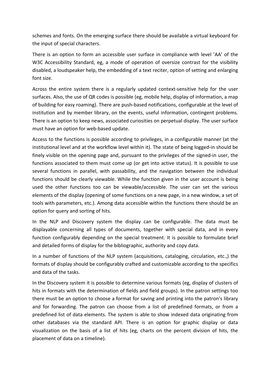schemes and fonts. On the emerging surface there should be available a virtual keyboard for the input of special characters.

There is an option to form an accessible user surface in compliance with level 'AA' of the W3C Accessibility Standard, eg, a mode of operation of oversize contrast for the visibility disabled, a loudspeaker help, the embedding of a text reciter, option of setting and enlarging font size.

Across the entire system there is a regularly updated context-sensitive help for the user surfaces. Also, the use of QR codes is possible (eg, mobile help, display of information, a map of building for easy roaming). There are push-based notifications, configurable at the level of institution and by member library, on the events, useful information, contingent problems. There is an option to keep news, associated curiosities on perpetual display. The user surface must have an option for web-based update.

Access to the functions is possible according to privileges, in a configurable manner (at the institutional level and at the workflow level within it). The state of being logged-in should be finely visible on the opening page and, pursuant to the privileges of the signed-in user, the functions associated to them must come up (or get into active status). It is possible to use several functions in parallel, with passability, and the navigation between the individual functions should be clearly viewable. While the function given in the user account is being used the other functions too can be viewable/accessible. The user can set the various elements of the display (opening of some functions on a new page, in a new window, a set of tools with parameters, etc.). Among data accessible within the functions there should be an option for query and sorting of hits.

In the NLP and Discovery system the display can be configurable. The data must be displayable concerning all types of documents, together with special data, and in every function configurably depending on the special treatment. It is possible to formulate brief and detailed forms of display for the bibliographic, authority and copy data.

In a number of functions of the NLP system (acquisitions, cataloging, circulation, etc.,) the formats of display should be configurably crafted and customizable according to the specifics and data of the tasks.

In the Discovery system it is possible to determine various formats (eg, display of clusters of hits in formats with the determination of fields and field groups). In the patron settings too there must be an option to choose a format for saving and printing into the patron's library and for forwarding. The patron can choose from a list of predefined formats, or from a predefined list of data elements. The system is able to show indexed data originating from other databases via the standard API. There is an option for graphic display or data visualization on the basis of a list of hits (eg, charts on the percent division of hits, the placement of data on a timeline).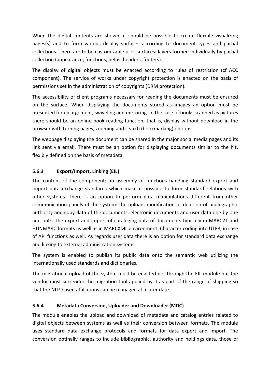When the digital contents are shown, it should be possible to create flexible visualizing pages(s) and to form various display surfaces according to document types and partial collections. There are to be customizable user surfaces: layers formed individually by partial collection (appearance, functions, helps, headers, footers).

The display of digital objects must be enacted according to rules of restriction (cf ACC component). The service of works under copyright protection is enacted on the basis of permissions set in the administration of copyrights (DRM protection).

The accessibility of client programs necessary for reading the documents must be ensured on the surface. When displaying the documents stored as images an option must be presented for enlargement, swiveling and mirroring. In the case of books scanned as pictures there should be an online book-reading function, that is, display without download in the browser with turning pages, zooming and search (bookmarking) options.

The webpage displaying the document can be shared in the major social media pages and its link sent via email. There must be an option for displaying documents similar to the hit, flexibly defined on the basis of metadata.

## **5.6.3 Export/Import, Linking (EIL)**

The content of the component: an assembly of functions handling standard export and import data exchange standards which make it possible to form standard relations with other systems. There is an option to perform data manipulations different from other communication panels of the system: the upload, modification or deletion of bibliographic authority and copy data of the documents, electronic documents and user data one by one and bulk. The export and import of cataloging data of documents typically in MARC21 and HUNMARC formats as well as in MARCXML environment. Character coding into UTF8, in case of API functions as well. As regards user data there is an option for standard data exchange and linking to external administration systems.

The system is enabled to publish its public data onto the semantic web utilizing the internationally used standards and dictionaries.

The migrational upload of the system must be enacted not through the EIL module but the vendor must surrender the migration tool applied by it as part of the range of shipping so that the NLP-based affiliations can be managed at a later date.

#### **5.6.4 Metadata Conversion, Uploader and Downloader (MDC)**

The module enables the upload and download of metadata and catalog entries related to digital objects between systems as well as their conversion between formats. The module uses standard data exchange protocols and formats for data export and import. The conversion optinally ranges to include bibliographic, authority and holdings data, those of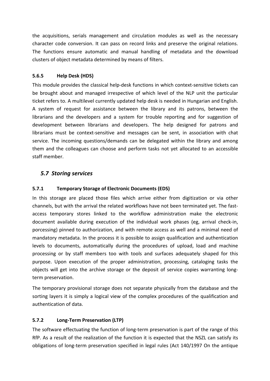the acquisitions, serials management and circulation modules as well as the necessary character code conversion. It can pass on record links and preserve the original relations. The functions ensure automatic and manual handling of metadata and the download clusters of object metadata determined by means of filters.

#### **5.6.5 Help Desk (HDS)**

This module provides the classical help-desk functions in which context-sensitive tickets can be brought about and managed irrespective of which level of the NLP unit the particular ticket refers to. A multilevel currently updated help desk is needed in Hungarian and English. A system of request for assistance between the library and its patrons, between the librarians and the developers and a system for trouble reporting and for suggestion of development between librarians and developers. The help designed for patrons and librarians must be context-sensitive and messages can be sent, in association with chat service. The incoming questions/demands can be delegated within the library and among them and the colleagues can choose and perform tasks not yet allocated to an accessible staff member.

## *5.7 Storing services*

#### **5.7.1 Temporary Storage of Electronic Documents (EDS)**

In this storage are placed those files which arrive either from digitization or via other channels, but with the arrival the related workflows have not been terminated yet. The fastaccess temporary stores linked to the workflow administration make the electronic document available during execution of the individual work phases (eg, arrival check-in, porcessing) pinned to authorization, and with remote access as well and a minimal need of mandatory metadata. In the process it is possible to assign qualification and authentication levels to documents, automatically during the procedures of upload, load and machine processing or by staff members too with tools and surfaces adequately shaped for this purpose. Upon execution of the proper administration, processing, cataloging tasks the objects will get into the archive storage or the deposit of service copies warranting longterm preservation.

The temporary provisional storage does not separate physically from the database and the sorting layers it is simply a logical view of the complex procedures of the qualification and authentication of data.

#### **5.7.2 Long-Term Preservation (LTP)**

The software effectuating the function of long-term preservation is part of the range of this RfP. As a result of the realization of the function it is expected that the NSZL can satisfy its obligations of long-term preservation specified in legal rules (Act 140/1997 On the antique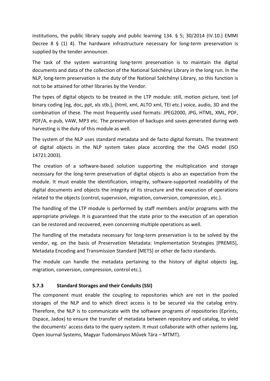institutions, the public library supply and public learning 134. § 5; 30/2014 (IV.10.) EMMI Decree  $8 \xi(1)$  4). The hardware infrastructure necessary for long-term preservation is supplied by the tender announcer.

The task of the system warranting long-term preservation is to maintain the digital documents and data of the collection of the National Széchényi Library in the long run. In the NLP, long-term preservation is the duty of the National Széchényi Library, so this function is not to be attained for other libraries by the Vendor.

The types of digital objects to be treated in the LTP module: still, motion picture, text (of binary coding [eg, doc, ppt, xls stb.], (html, xml, ALTO xml, TEI etc.) voice, audio, 3D and the combination of these. The most frequently used formats: JPEG2000, JPG, HTML, XML, PDF, PDF/A, e-pub, VAW, MP3 etc. The preservation of backups and saves generated during web harvesting is the duty of this module as well.

The system of the NLP uses standard metadata and de facto digital formats. The treatment of digital objects in the NLP system takes place according the the OAIS model (ISO 14721:2003).

The creation of a software-based solution supporting the multiplication and storage necessary for the long-term preservation of digital objects is also an expectation from the module. It must enable the identification, integrity, software-supported readability of the digital documents and objects the integrity of its structure and the execution of operations related to the objects (control, supervision, migration, conversion, compression, etc.).

The handling of the LTP module is performed by staff members and/or programs with the appropriate privilege. It is guaranteed that the state prior to the execution of an operation can be restored and recovered, even concerning multiple operations as well.

The handling of the metadata necessary for long-term preservation is to be solved by the vendor, eg. on the basis of Preservation Metadata: Implementation Strategies [PREMIS], Metadata Encoding and Transmission Standard [METS] or other de facto standards.

The module can handle the metadata pertaining to the history of digital objects (eg, migration, conversion, compression, control etc.).

#### **5.7.3 Standard Storages and their Conduits (SSI)**

The component must enable the coupling to repositories which are not in the pooled storages of the NLP and to which direct access is to be secured via the catalog entry. Therefore, the NLP is to communicate with the software programs of repositories (Eprints, Dspace, Jadox) to ensure the transfer of metadata between repository and catalog, to yield the documents' access data to the query system. It must collaborate with other systems (eg, Open Journal Systems, Magyar Tudományos Művek Tára – MTMT).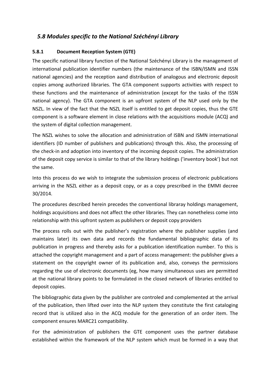# *5.8 Modules specific to the National Széchényi Library*

#### **5.8.1 Document Reception System (GTE)**

The specific national library function of the National Széchényi Library is the management of international publication identifier numbers (the maintenance of the ISBN/ISMN and ISSN national agencies) and the reception aand distribution of analogous and electronic deposit copies among authorized libraries. The GTA component supports activities with respect to these functions and the maintenance of administration (except for the tasks of the ISSN national agency). The GTA component is an upfront system of the NLP used only by the NSZL. In view of the fact that the NSZL itself is entitled to get deposit copies, thus the GTE component is a software element in close relations with the acquisitions module (ACQ) and the system of digital collection management.

The NSZL wishes to solve the allocation and administration of ISBN and ISMN international identifiers (ID number of publishers and publications) through this. Also, the processing of the check-in and adoption into inventory of the incoming deposit copies. The administration of the deposit copy service is similar to that of the library holdings ('inventory book') but not the same.

Into this process do we wish to integrate the submission process of electronic publications arriving in the NSZL either as a deposit copy, or as a copy prescribed in the EMMI decree 30/2014.

The procedures described herein precedes the conventional libraray holdings management, holdings acquisitions and does not affect the other libraries. They can nonetheless come into relationship with this upfront system as publishers or deposit copy providers

The process rolls out with the publisher's registration where the publisher supplies (and maintains later) its own data and records the fundamental bibliographic data of its publication in progress and thereby asks for a publication identification number. To this is attached the copyright management and a part of access management: the publisher gives a statement on the copyright owner of its publication and, also, conveys the permissions regarding the use of electronic documents (eg, how many simultaneous uses are permitted at the national library points to be formulated in the closed network of libraries entitled to deposit copies.

The bibliographic data given by the publisher are controled and complemented at the arrival of the publication, then lifted over into the NLP system they constitute the first cataloging record that is utilized also in the ACQ module for the generation of an order item. The component ensures MARC21 compatibility.

For the administration of publishers the GTE component uses the partner database established within the framework of the NLP system which must be formed in a way that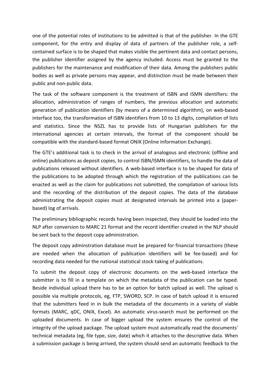one of the potential roles of institutions to be admitted is that of the publisher. In the GTE component, for the entry and display of data of partners of the publisher role, a selfcontained surface is to be shaped that makes visible the pertinent data and contact persons, the publisher identifier assigned by the agency included. Access must be granted to the publishers for the maintenance and modification of their data. Among the publishers public bodies as well as private persons may appear, and distinction must be made between their public and non-public data.

The task of the software component is the treatment of ISBN and ISMN identifiers: the allocation, administration of ranges of numbers, the previous allocation and automatic generation of publication identifiers (by means of a determined algorithm), on web-based interface too, the transformation of ISBN identifiers from 10 to 13 digits, compilation of lists and statistics. Since the NSZL has to provide lists of Hungarian publishers for the international agencies at certain intervals, the format of the component should be compatible with the standard-based format ONIX (Online Information Exchange).

The GTE's additional task is to check in the arrival of analogous and electronic (offline and online) publications as deposit copies, to control ISBN/ISMN identifiers, to handle the data of publications released without identifiers. A web-based interface is to be shaped for data of the publications to be adopted through which the registration of the publications can be enacted as well as the claim for publications not submitted, the compilation of various lists and the recording of the distribution of the deposit copies. The data of the database administrating the deposit copies must at designated intervals be printed into a (paperbased) log of arrivals.

The preliminary bibliographic records having been inspected, they should be loaded into the NLP after conversion to MARC 21 format and the record identifier created in the NLP should be sent back to the deposit copy administration.

The deposit copy adminstration database must be prepared for financial transactions (these are needed when the allocation of publication identifiers will be fee-based) and for recording data needed for the national statistical stock-taking of publications.

To submit the deposit copy of electronic documents on the web-based interface the submitter is to fill in a template on which the metadata of the publication can be typed. Beside individual upload there has to be an option for batch upload as well. The upload is possible via multiple protocols, eg, FTP, SWORD, SCP. In case of batch upload it is ensured that the submitters feed in in bulk the metadata of the documents in a variety of viable formats (MARC, qDC, ONIX, Excel). An automatic virus-search must be performed on the uploaded documents. In case of bigger upload the system ensures the control of the integrity of the upload package. The upload system must automatically read the documents' technical metadata (eg, file type, size, date) which it attaches to the descriptive data. When a submission package is being arrived, the system should send an automatic feedback to the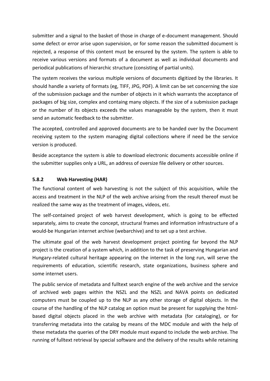submitter and a signal to the basket of those in charge of e-document management. Should some defect or error arise upon supervision, or for some reason the submitted document is rejected, a response of this content must be ensured by the system. The system is able to receive various versions and formats of a document as well as individual documents and periodical publications of hierarchic structure (consisting of partial units).

The system receives the various multiple versions of documents digitized by the libraries. It should handle a variety of formats (eg, TIFF, JPG, PDF). A limit can be set concerning the size of the submission package and the number of objects in it which warrants the acceptance of packages of big size, complex and containg many objects. If the size of a submission package or the number of its objects exceeds the values manageable by the system, then it must send an automatic feedback to the submitter.

The accepted, controlled and approved documents are to be handed over by the Document receiving system to the system managing digital collections where if need be the service version is produced.

Beside acceptance the system is able to download electronic documents accessible online if the submitter supplies only a URL, an address of oversize file delivery or other sources.

#### **5.8.2 Web Harvesting (HAR)**

The functional content of web harvesting is not the subject of this acquisition, while the access and treatment in the NLP of the web archive arising from the result thereof must be realized the same way as the treatment of images, videos, etc.

The self-contained project of web harvest development, which is going to be effected separately, aims to create the concept, structural frames and information infrastructure of a would-be Hungarian internet archive (webarchive) and to set up a test archive.

The ultimate goal of the web harvest development project pointing far beyond the NLP project is the creation of a system which, in addition to the task of preserving Hungarian and Hungary-related cultural heritage appearing on the internet in the long run, will serve the requirements of education, scientific research, state organizations, business sphere and some internet users.

The public service of metadata and fulltext search engine of the web archive and the service of archived web pages within the NSZL and the NSZL and NAVA points on dedicated computers must be coupled up to the NLP as any other storage of digital objects. In the course of the handling of the NLP catalog an option must be present for supplying the htmlbased digital objects placed in the web archive with metadata (for cataloging), or for transferring metadata into the catalog by means of the MDC module and with the help of these metadata the queries of the DRY module must expand to include the web archive. The running of fulltext retrieval by special software and the delivery of the results while retaining